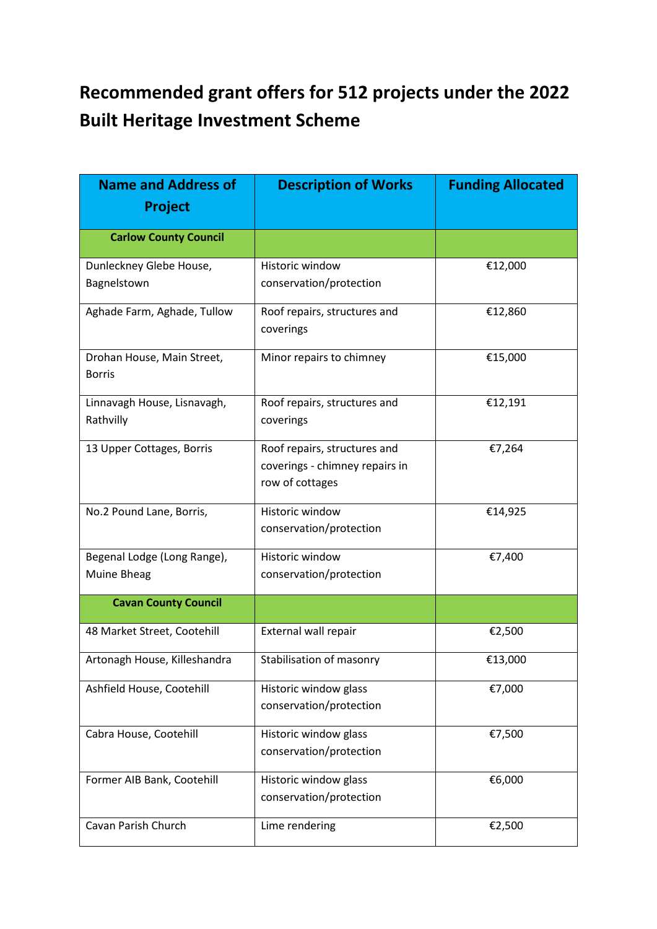## **Recommended grant offers for 512 projects under the 2022 Built Heritage Investment Scheme**

| <b>Name and Address of</b><br><b>Project</b> | <b>Description of Works</b>                                                       | <b>Funding Allocated</b> |
|----------------------------------------------|-----------------------------------------------------------------------------------|--------------------------|
| <b>Carlow County Council</b>                 |                                                                                   |                          |
| Dunleckney Glebe House,<br>Bagnelstown       | Historic window<br>conservation/protection                                        | €12,000                  |
| Aghade Farm, Aghade, Tullow                  | Roof repairs, structures and<br>coverings                                         | €12,860                  |
| Drohan House, Main Street,<br><b>Borris</b>  | Minor repairs to chimney                                                          | €15,000                  |
| Linnavagh House, Lisnavagh,<br>Rathvilly     | Roof repairs, structures and<br>coverings                                         | €12,191                  |
| 13 Upper Cottages, Borris                    | Roof repairs, structures and<br>coverings - chimney repairs in<br>row of cottages | €7,264                   |
| No.2 Pound Lane, Borris,                     | Historic window<br>conservation/protection                                        | €14,925                  |
| Begenal Lodge (Long Range),<br>Muine Bheag   | Historic window<br>conservation/protection                                        | €7,400                   |
| <b>Cavan County Council</b>                  |                                                                                   |                          |
| 48 Market Street, Cootehill                  | External wall repair                                                              | €2,500                   |
| Artonagh House, Killeshandra                 | Stabilisation of masonry                                                          | €13,000                  |
| Ashfield House, Cootehill                    | Historic window glass<br>conservation/protection                                  | €7,000                   |
| Cabra House, Cootehill                       | Historic window glass<br>conservation/protection                                  | €7,500                   |
| Former AIB Bank, Cootehill                   | Historic window glass<br>conservation/protection                                  | €6,000                   |
| Cavan Parish Church                          | Lime rendering                                                                    | €2,500                   |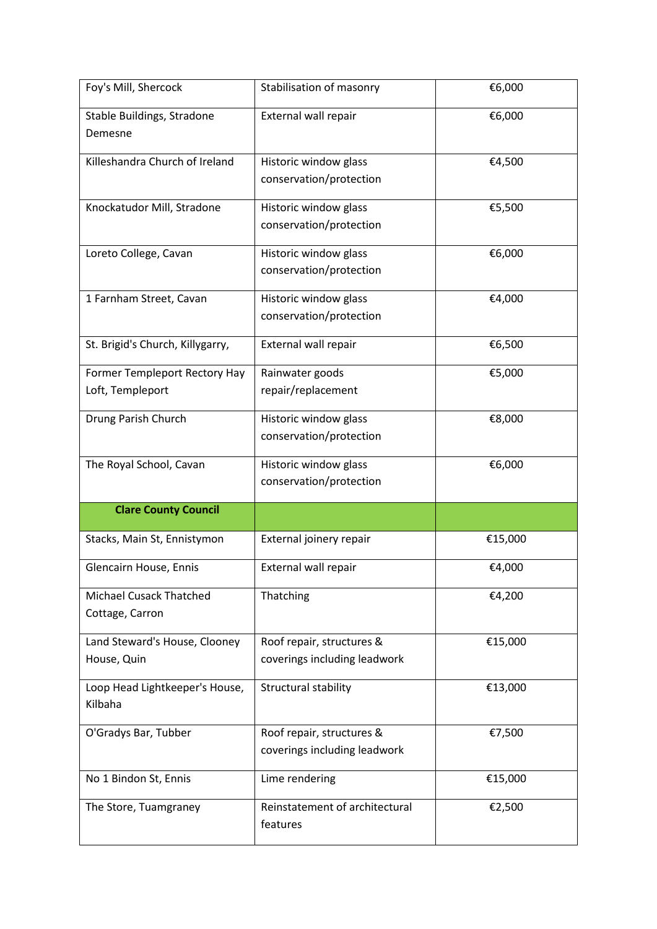| Foy's Mill, Shercock                              | Stabilisation of masonry                                  | €6,000  |
|---------------------------------------------------|-----------------------------------------------------------|---------|
| Stable Buildings, Stradone<br>Demesne             | External wall repair                                      | €6,000  |
| Killeshandra Church of Ireland                    | Historic window glass<br>conservation/protection          | €4,500  |
| Knockatudor Mill, Stradone                        | Historic window glass<br>conservation/protection          | €5,500  |
| Loreto College, Cavan                             | Historic window glass<br>conservation/protection          | €6,000  |
| 1 Farnham Street, Cavan                           | Historic window glass<br>conservation/protection          | €4,000  |
| St. Brigid's Church, Killygarry,                  | External wall repair                                      | €6,500  |
| Former Templeport Rectory Hay<br>Loft, Templeport | Rainwater goods<br>repair/replacement                     | €5,000  |
| Drung Parish Church                               | Historic window glass<br>conservation/protection          | €8,000  |
| The Royal School, Cavan                           | Historic window glass<br>conservation/protection          | €6,000  |
| <b>Clare County Council</b>                       |                                                           |         |
| Stacks, Main St, Ennistymon                       | External joinery repair                                   | €15,000 |
| Glencairn House, Ennis                            | External wall repair                                      | €4,000  |
| <b>Michael Cusack Thatched</b><br>Cottage, Carron | Thatching                                                 | €4,200  |
| Land Steward's House, Clooney<br>House, Quin      | Roof repair, structures &<br>coverings including leadwork | €15,000 |
| Loop Head Lightkeeper's House,<br>Kilbaha         | Structural stability                                      | €13,000 |
| O'Gradys Bar, Tubber                              | Roof repair, structures &<br>coverings including leadwork | €7,500  |
| No 1 Bindon St, Ennis                             | Lime rendering                                            | €15,000 |
| The Store, Tuamgraney                             | Reinstatement of architectural<br>features                | €2,500  |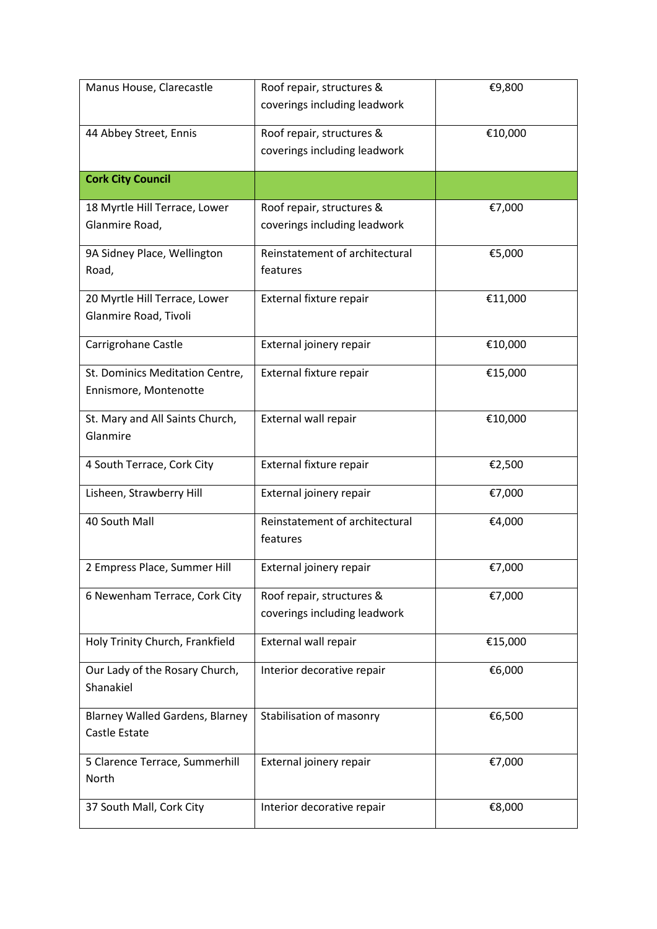| Manus House, Clarecastle                                       | Roof repair, structures &<br>coverings including leadwork | €9,800  |
|----------------------------------------------------------------|-----------------------------------------------------------|---------|
| 44 Abbey Street, Ennis                                         | Roof repair, structures &<br>coverings including leadwork | €10,000 |
| <b>Cork City Council</b>                                       |                                                           |         |
| 18 Myrtle Hill Terrace, Lower<br>Glanmire Road,                | Roof repair, structures &<br>coverings including leadwork | €7,000  |
| 9A Sidney Place, Wellington<br>Road,                           | Reinstatement of architectural<br>features                | €5,000  |
| 20 Myrtle Hill Terrace, Lower<br>Glanmire Road, Tivoli         | External fixture repair                                   | €11,000 |
| Carrigrohane Castle                                            | External joinery repair                                   | €10,000 |
| St. Dominics Meditation Centre,<br>Ennismore, Montenotte       | External fixture repair                                   | €15,000 |
| St. Mary and All Saints Church,<br>Glanmire                    | External wall repair                                      | €10,000 |
| 4 South Terrace, Cork City                                     | External fixture repair                                   | €2,500  |
| Lisheen, Strawberry Hill                                       | External joinery repair                                   | €7,000  |
| 40 South Mall                                                  | Reinstatement of architectural<br>features                | €4,000  |
| 2 Empress Place, Summer Hill                                   | External joinery repair                                   | €7,000  |
| 6 Newenham Terrace, Cork City                                  | Roof repair, structures &<br>coverings including leadwork | €7,000  |
| Holy Trinity Church, Frankfield                                | External wall repair                                      | €15,000 |
| Our Lady of the Rosary Church,<br>Shanakiel                    | Interior decorative repair                                | €6,000  |
| <b>Blarney Walled Gardens, Blarney</b><br><b>Castle Estate</b> | Stabilisation of masonry                                  | €6,500  |
| 5 Clarence Terrace, Summerhill<br>North                        | External joinery repair                                   | €7,000  |
| 37 South Mall, Cork City                                       | Interior decorative repair                                | €8,000  |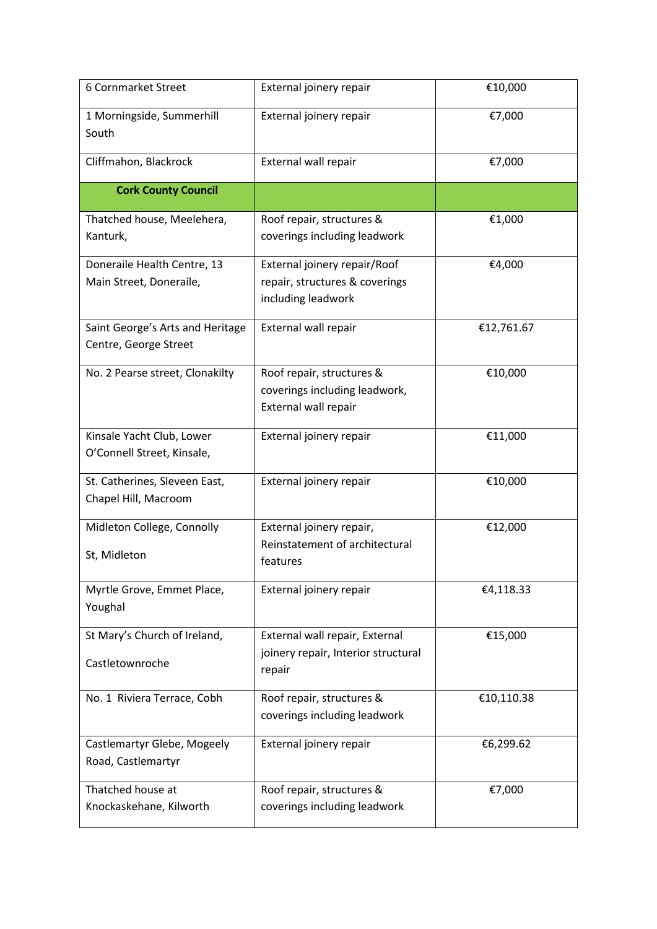| 6 Cornmarket Street                                       | External joinery repair                                                              | €10,000    |
|-----------------------------------------------------------|--------------------------------------------------------------------------------------|------------|
| 1 Morningside, Summerhill<br>South                        | External joinery repair                                                              | €7,000     |
| Cliffmahon, Blackrock                                     | External wall repair                                                                 | €7,000     |
| <b>Cork County Council</b>                                |                                                                                      |            |
| Thatched house, Meelehera,<br>Kanturk,                    | Roof repair, structures &<br>coverings including leadwork                            | €1,000     |
| Doneraile Health Centre, 13<br>Main Street, Doneraile,    | External joinery repair/Roof<br>repair, structures & coverings<br>including leadwork | €4,000     |
| Saint George's Arts and Heritage<br>Centre, George Street | External wall repair                                                                 | €12,761.67 |
| No. 2 Pearse street, Clonakilty                           | Roof repair, structures &<br>coverings including leadwork,<br>External wall repair   | €10,000    |
| Kinsale Yacht Club, Lower<br>O'Connell Street, Kinsale,   | External joinery repair                                                              | €11,000    |
| St. Catherines, Sleveen East,<br>Chapel Hill, Macroom     | External joinery repair                                                              | €10,000    |
| Midleton College, Connolly<br>St, Midleton                | External joinery repair,<br>Reinstatement of architectural<br>features               | €12,000    |
| Myrtle Grove, Emmet Place,<br>Youghal                     | External joinery repair                                                              | €4,118.33  |
| St Mary's Church of Ireland,<br>Castletownroche           | External wall repair, External<br>joinery repair, Interior structural<br>repair      | €15,000    |
| No. 1 Riviera Terrace, Cobh                               | Roof repair, structures &<br>coverings including leadwork                            | €10,110.38 |
| Castlemartyr Glebe, Mogeely<br>Road, Castlemartyr         | External joinery repair                                                              | €6,299.62  |
| Thatched house at<br>Knockaskehane, Kilworth              | Roof repair, structures &<br>coverings including leadwork                            | €7,000     |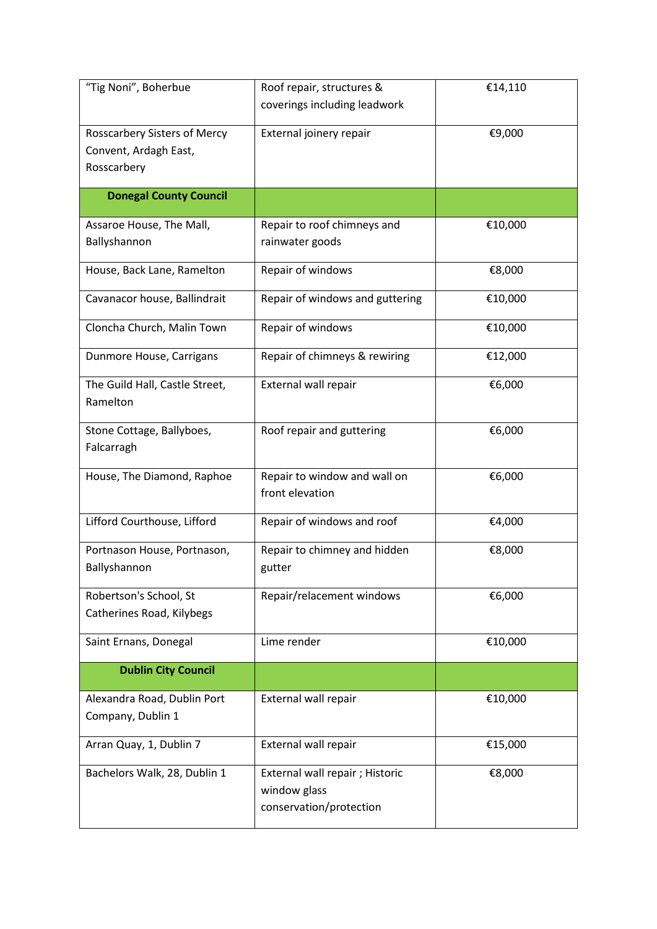| "Tig Noni", Boherbue           | Roof repair, structures &               | €14,110 |
|--------------------------------|-----------------------------------------|---------|
|                                | coverings including leadwork            |         |
| Rosscarbery Sisters of Mercy   | External joinery repair                 | €9,000  |
| Convent, Ardagh East,          |                                         |         |
| Rosscarbery                    |                                         |         |
| <b>Donegal County Council</b>  |                                         |         |
| Assaroe House, The Mall,       | Repair to roof chimneys and             | €10,000 |
| Ballyshannon                   | rainwater goods                         |         |
| House, Back Lane, Ramelton     | Repair of windows                       | €8,000  |
| Cavanacor house, Ballindrait   | Repair of windows and guttering         | €10,000 |
| Cloncha Church, Malin Town     | Repair of windows                       | €10,000 |
| Dunmore House, Carrigans       | Repair of chimneys & rewiring           | €12,000 |
| The Guild Hall, Castle Street, | External wall repair                    | €6,000  |
| Ramelton                       |                                         |         |
| Stone Cottage, Ballyboes,      | Roof repair and guttering               | €6,000  |
| Falcarragh                     |                                         |         |
| House, The Diamond, Raphoe     | Repair to window and wall on            | €6,000  |
|                                | front elevation                         |         |
| Lifford Courthouse, Lifford    | Repair of windows and roof              | €4,000  |
| Portnason House, Portnason,    | Repair to chimney and hidden            | €8,000  |
| Ballyshannon                   | gutter                                  |         |
| Robertson's School, St         | Repair/relacement windows               | €6,000  |
| Catherines Road, Kilybegs      |                                         |         |
| Saint Ernans, Donegal          | Lime render                             | €10,000 |
| <b>Dublin City Council</b>     |                                         |         |
| Alexandra Road, Dublin Port    | External wall repair                    | €10,000 |
| Company, Dublin 1              |                                         |         |
| Arran Quay, 1, Dublin 7        | External wall repair                    | €15,000 |
| Bachelors Walk, 28, Dublin 1   | External wall repair; Historic          | €8,000  |
|                                | window glass<br>conservation/protection |         |
|                                |                                         |         |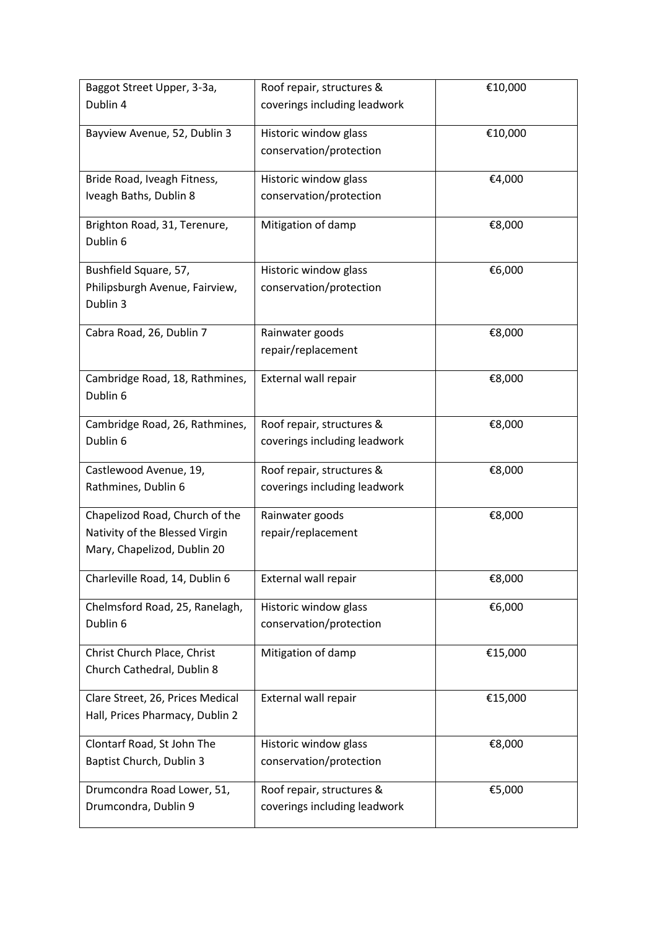| Baggot Street Upper, 3-3a,               | Roof repair, structures &    | €10,000 |
|------------------------------------------|------------------------------|---------|
| Dublin 4                                 | coverings including leadwork |         |
| Bayview Avenue, 52, Dublin 3             | Historic window glass        | €10,000 |
|                                          | conservation/protection      |         |
|                                          |                              |         |
| Bride Road, Iveagh Fitness,              | Historic window glass        | €4,000  |
| Iveagh Baths, Dublin 8                   | conservation/protection      |         |
|                                          |                              |         |
| Brighton Road, 31, Terenure,<br>Dublin 6 | Mitigation of damp           | €8,000  |
|                                          |                              |         |
| Bushfield Square, 57,                    | Historic window glass        | €6,000  |
| Philipsburgh Avenue, Fairview,           | conservation/protection      |         |
| Dublin 3                                 |                              |         |
| Cabra Road, 26, Dublin 7                 | Rainwater goods              | €8,000  |
|                                          | repair/replacement           |         |
|                                          |                              |         |
| Cambridge Road, 18, Rathmines,           | External wall repair         | €8,000  |
| Dublin 6                                 |                              |         |
| Cambridge Road, 26, Rathmines,           | Roof repair, structures &    | €8,000  |
| Dublin 6                                 | coverings including leadwork |         |
|                                          |                              |         |
| Castlewood Avenue, 19,                   | Roof repair, structures &    | €8,000  |
| Rathmines, Dublin 6                      | coverings including leadwork |         |
| Chapelizod Road, Church of the           | Rainwater goods              | €8,000  |
| Nativity of the Blessed Virgin           | repair/replacement           |         |
| Mary, Chapelizod, Dublin 20              |                              |         |
|                                          |                              |         |
| Charleville Road, 14, Dublin 6           | External wall repair         | €8,000  |
| Chelmsford Road, 25, Ranelagh,           | Historic window glass        | €6,000  |
| Dublin 6                                 | conservation/protection      |         |
|                                          |                              |         |
| Christ Church Place, Christ              | Mitigation of damp           | €15,000 |
| Church Cathedral, Dublin 8               |                              |         |
| Clare Street, 26, Prices Medical         | External wall repair         | €15,000 |
| Hall, Prices Pharmacy, Dublin 2          |                              |         |
| Clontarf Road, St John The               | Historic window glass        | €8,000  |
| Baptist Church, Dublin 3                 | conservation/protection      |         |
|                                          |                              |         |
| Drumcondra Road Lower, 51,               | Roof repair, structures &    | €5,000  |
| Drumcondra, Dublin 9                     | coverings including leadwork |         |
|                                          |                              |         |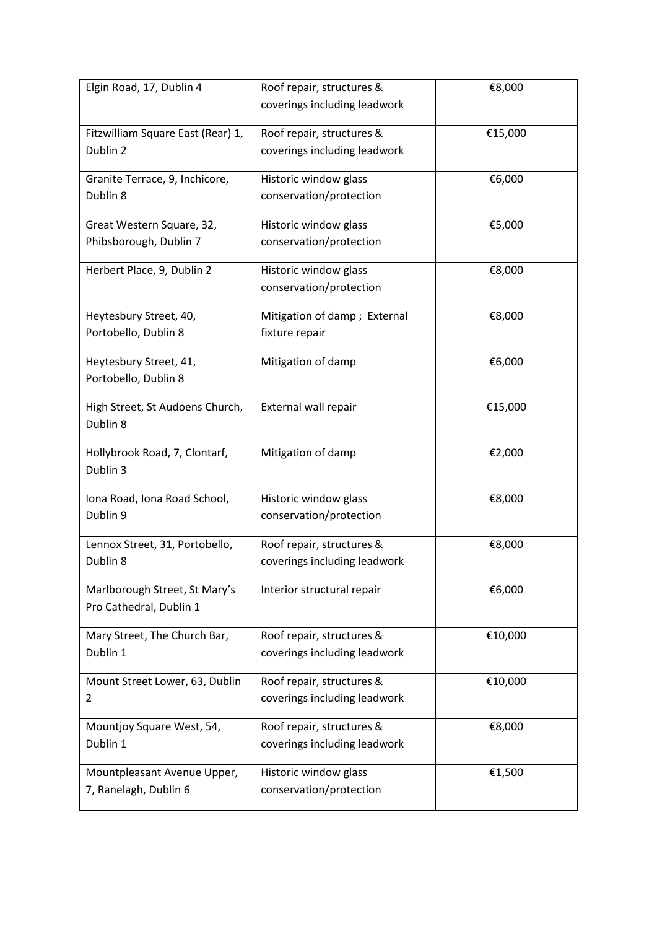| Elgin Road, 17, Dublin 4          | Roof repair, structures &    | €8,000  |
|-----------------------------------|------------------------------|---------|
|                                   | coverings including leadwork |         |
|                                   |                              |         |
| Fitzwilliam Square East (Rear) 1, | Roof repair, structures &    | €15,000 |
| Dublin 2                          | coverings including leadwork |         |
| Granite Terrace, 9, Inchicore,    | Historic window glass        | €6,000  |
| Dublin 8                          | conservation/protection      |         |
| Great Western Square, 32,         | Historic window glass        | €5,000  |
| Phibsborough, Dublin 7            | conservation/protection      |         |
|                                   |                              |         |
| Herbert Place, 9, Dublin 2        | Historic window glass        | €8,000  |
|                                   | conservation/protection      |         |
| Heytesbury Street, 40,            | Mitigation of damp; External | €8,000  |
| Portobello, Dublin 8              | fixture repair               |         |
|                                   |                              |         |
| Heytesbury Street, 41,            | Mitigation of damp           | €6,000  |
| Portobello, Dublin 8              |                              |         |
| High Street, St Audoens Church,   | External wall repair         | €15,000 |
| Dublin 8                          |                              |         |
|                                   |                              |         |
| Hollybrook Road, 7, Clontarf,     | Mitigation of damp           | €2,000  |
| Dublin 3                          |                              |         |
| Iona Road, Iona Road School,      | Historic window glass        | €8,000  |
| Dublin 9                          | conservation/protection      |         |
| Lennox Street, 31, Portobello,    | Roof repair, structures &    | €8,000  |
| Dublin 8                          | coverings including leadwork |         |
|                                   |                              |         |
| Marlborough Street, St Mary's     | Interior structural repair   | €6,000  |
| Pro Cathedral, Dublin 1           |                              |         |
| Mary Street, The Church Bar,      | Roof repair, structures &    | €10,000 |
| Dublin 1                          | coverings including leadwork |         |
|                                   |                              |         |
| Mount Street Lower, 63, Dublin    | Roof repair, structures &    | €10,000 |
| 2                                 | coverings including leadwork |         |
| Mountjoy Square West, 54,         | Roof repair, structures &    | €8,000  |
| Dublin 1                          | coverings including leadwork |         |
|                                   |                              |         |
| Mountpleasant Avenue Upper,       | Historic window glass        | €1,500  |
| 7, Ranelagh, Dublin 6             | conservation/protection      |         |
|                                   |                              |         |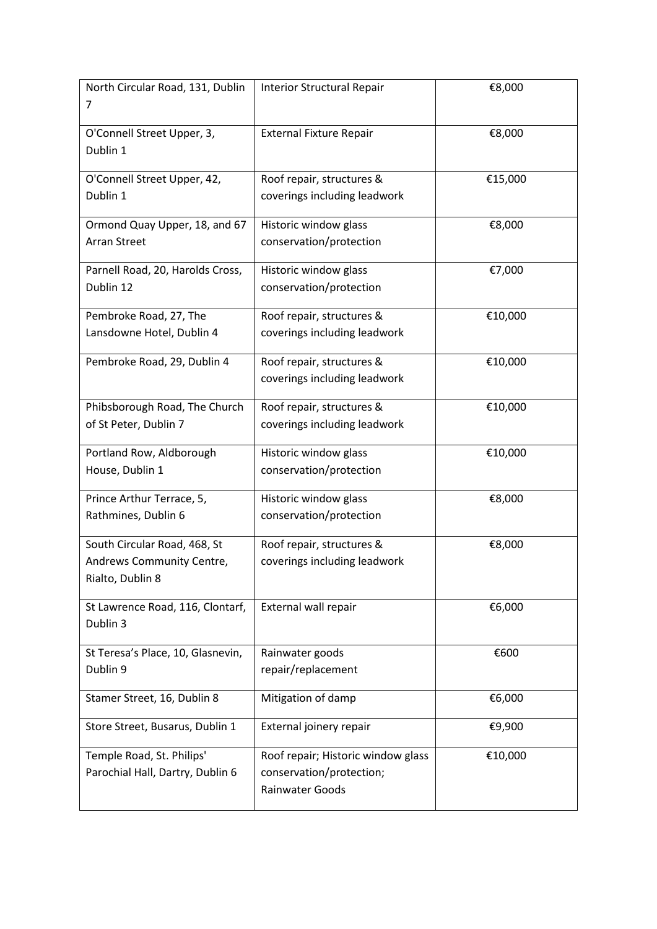| North Circular Road, 131, Dublin  | <b>Interior Structural Repair</b>           | €8,000  |
|-----------------------------------|---------------------------------------------|---------|
| 7                                 |                                             |         |
| O'Connell Street Upper, 3,        | <b>External Fixture Repair</b>              | €8,000  |
| Dublin 1                          |                                             |         |
| O'Connell Street Upper, 42,       | Roof repair, structures &                   | €15,000 |
| Dublin 1                          | coverings including leadwork                |         |
| Ormond Quay Upper, 18, and 67     | Historic window glass                       | €8,000  |
| <b>Arran Street</b>               | conservation/protection                     |         |
| Parnell Road, 20, Harolds Cross,  | Historic window glass                       | €7,000  |
| Dublin 12                         | conservation/protection                     |         |
| Pembroke Road, 27, The            | Roof repair, structures &                   | €10,000 |
| Lansdowne Hotel, Dublin 4         | coverings including leadwork                |         |
| Pembroke Road, 29, Dublin 4       | Roof repair, structures &                   | €10,000 |
|                                   | coverings including leadwork                |         |
| Phibsborough Road, The Church     | Roof repair, structures &                   | €10,000 |
| of St Peter, Dublin 7             | coverings including leadwork                |         |
| Portland Row, Aldborough          | Historic window glass                       | €10,000 |
| House, Dublin 1                   | conservation/protection                     |         |
| Prince Arthur Terrace, 5,         | Historic window glass                       | €8,000  |
| Rathmines, Dublin 6               | conservation/protection                     |         |
| South Circular Road, 468, St      | Roof repair, structures &                   | €8,000  |
| Andrews Community Centre,         | coverings including leadwork                |         |
| Rialto, Dublin 8                  |                                             |         |
| St Lawrence Road, 116, Clontarf,  | External wall repair                        | €6,000  |
| Dublin 3                          |                                             |         |
| St Teresa's Place, 10, Glasnevin, | Rainwater goods                             | €600    |
| Dublin 9                          | repair/replacement                          |         |
| Stamer Street, 16, Dublin 8       | Mitigation of damp                          | €6,000  |
| Store Street, Busarus, Dublin 1   | External joinery repair                     | €9,900  |
| Temple Road, St. Philips'         | Roof repair; Historic window glass          | €10,000 |
| Parochial Hall, Dartry, Dublin 6  | conservation/protection;<br>Rainwater Goods |         |
|                                   |                                             |         |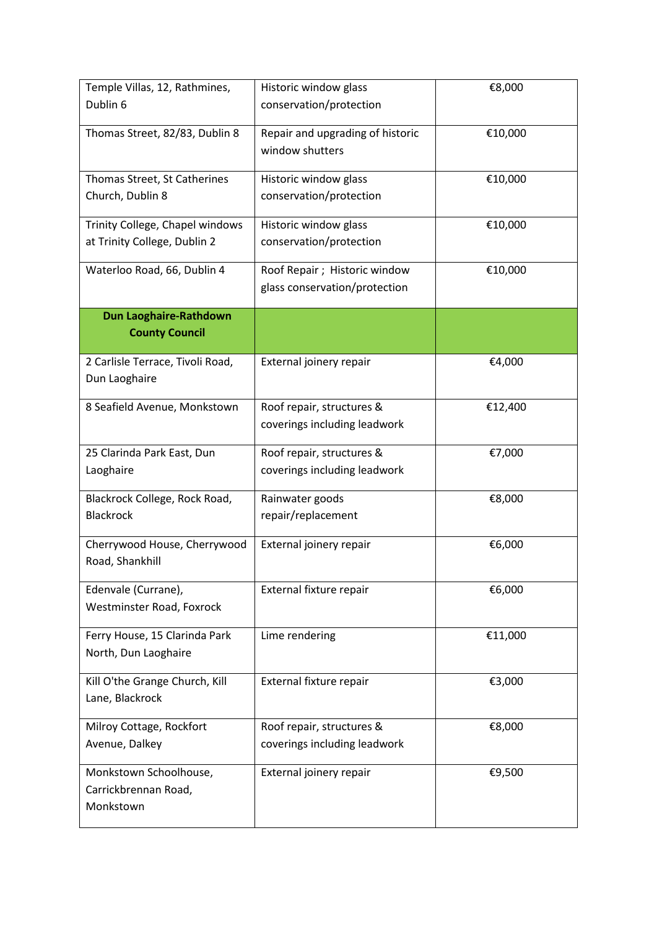| Temple Villas, 12, Rathmines,    | Historic window glass            | €8,000  |
|----------------------------------|----------------------------------|---------|
| Dublin 6                         | conservation/protection          |         |
|                                  |                                  |         |
| Thomas Street, 82/83, Dublin 8   | Repair and upgrading of historic | €10,000 |
|                                  | window shutters                  |         |
| Thomas Street, St Catherines     | Historic window glass            | €10,000 |
| Church, Dublin 8                 | conservation/protection          |         |
|                                  |                                  |         |
| Trinity College, Chapel windows  | Historic window glass            | €10,000 |
| at Trinity College, Dublin 2     | conservation/protection          |         |
| Waterloo Road, 66, Dublin 4      | Roof Repair; Historic window     | €10,000 |
|                                  | glass conservation/protection    |         |
|                                  |                                  |         |
| Dun Laoghaire-Rathdown           |                                  |         |
| <b>County Council</b>            |                                  |         |
| 2 Carlisle Terrace, Tivoli Road, | External joinery repair          | €4,000  |
| Dun Laoghaire                    |                                  |         |
|                                  |                                  |         |
| 8 Seafield Avenue, Monkstown     | Roof repair, structures &        | €12,400 |
|                                  | coverings including leadwork     |         |
| 25 Clarinda Park East, Dun       | Roof repair, structures &        | €7,000  |
| Laoghaire                        | coverings including leadwork     |         |
|                                  |                                  |         |
| Blackrock College, Rock Road,    | Rainwater goods                  | €8,000  |
| <b>Blackrock</b>                 | repair/replacement               |         |
|                                  |                                  |         |
| Cherrywood House, Cherrywood     | External joinery repair          | €6,000  |
| Road, Shankhill                  |                                  |         |
| Edenvale (Currane),              | External fixture repair          | €6,000  |
| Westminster Road, Foxrock        |                                  |         |
|                                  |                                  |         |
| Ferry House, 15 Clarinda Park    | Lime rendering                   | €11,000 |
| North, Dun Laoghaire             |                                  |         |
| Kill O'the Grange Church, Kill   | External fixture repair          | €3,000  |
| Lane, Blackrock                  |                                  |         |
|                                  |                                  |         |
| Milroy Cottage, Rockfort         | Roof repair, structures &        | €8,000  |
| Avenue, Dalkey                   | coverings including leadwork     |         |
| Monkstown Schoolhouse,           | External joinery repair          | €9,500  |
| Carrickbrennan Road,             |                                  |         |
| Monkstown                        |                                  |         |
|                                  |                                  |         |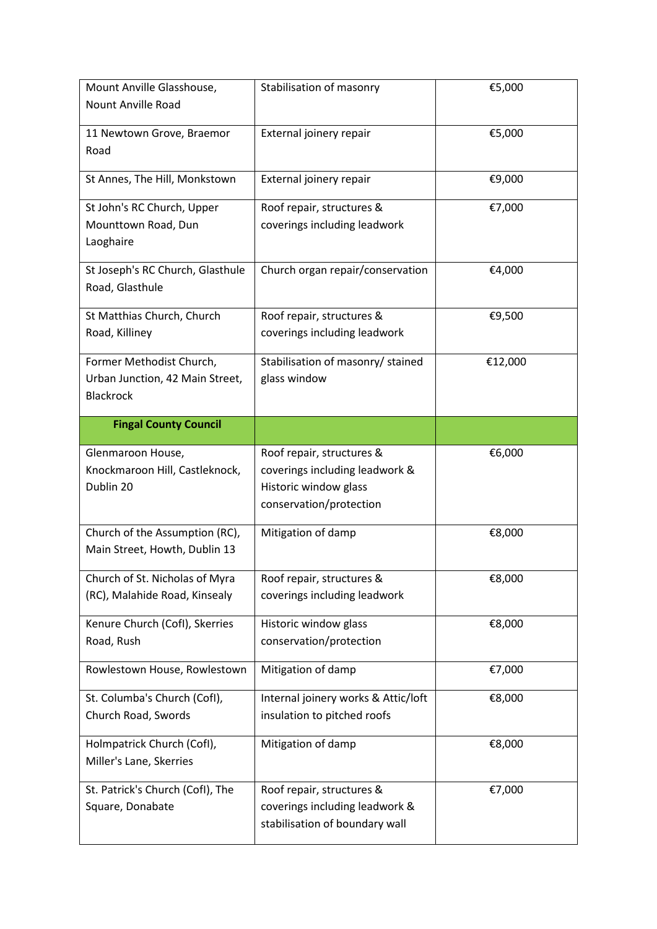| Mount Anville Glasshouse,<br><b>Nount Anville Road</b>                          | Stabilisation of masonry                                                                                        | €5,000  |
|---------------------------------------------------------------------------------|-----------------------------------------------------------------------------------------------------------------|---------|
|                                                                                 |                                                                                                                 |         |
| 11 Newtown Grove, Braemor<br>Road                                               | External joinery repair                                                                                         | €5,000  |
| St Annes, The Hill, Monkstown                                                   | External joinery repair                                                                                         | €9,000  |
| St John's RC Church, Upper<br>Mounttown Road, Dun<br>Laoghaire                  | Roof repair, structures &<br>coverings including leadwork                                                       | €7,000  |
| St Joseph's RC Church, Glasthule<br>Road, Glasthule                             | Church organ repair/conservation                                                                                | €4,000  |
| St Matthias Church, Church<br>Road, Killiney                                    | Roof repair, structures &<br>coverings including leadwork                                                       | €9,500  |
| Former Methodist Church,<br>Urban Junction, 42 Main Street,<br><b>Blackrock</b> | Stabilisation of masonry/ stained<br>glass window                                                               | €12,000 |
| <b>Fingal County Council</b>                                                    |                                                                                                                 |         |
| Glenmaroon House,<br>Knockmaroon Hill, Castleknock,<br>Dublin 20                | Roof repair, structures &<br>coverings including leadwork &<br>Historic window glass<br>conservation/protection | €6,000  |
| Church of the Assumption (RC),<br>Main Street, Howth, Dublin 13                 | Mitigation of damp                                                                                              | €8,000  |
| Church of St. Nicholas of Myra<br>(RC), Malahide Road, Kinsealy                 | Roof repair, structures &<br>coverings including leadwork                                                       | €8,000  |
| Kenure Church (Cofl), Skerries<br>Road, Rush                                    | Historic window glass<br>conservation/protection                                                                | €8,000  |
| Rowlestown House, Rowlestown                                                    | Mitigation of damp                                                                                              | €7,000  |
| St. Columba's Church (Cofl),<br>Church Road, Swords                             | Internal joinery works & Attic/loft<br>insulation to pitched roofs                                              | €8,000  |
| Holmpatrick Church (Cofl),<br>Miller's Lane, Skerries                           | Mitigation of damp                                                                                              | €8,000  |
| St. Patrick's Church (Cofl), The<br>Square, Donabate                            | Roof repair, structures &<br>coverings including leadwork &<br>stabilisation of boundary wall                   | €7,000  |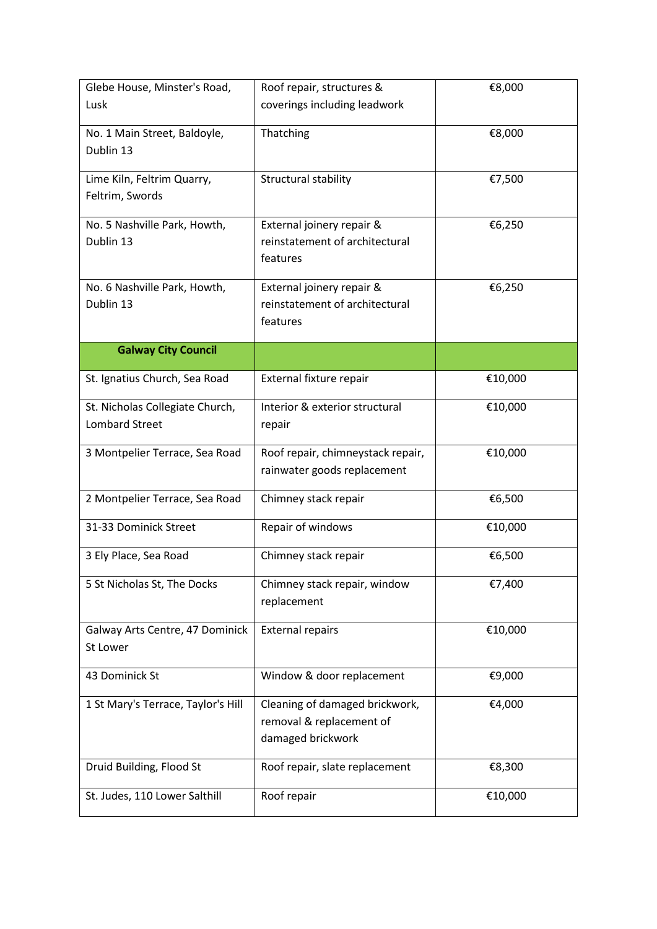| Glebe House, Minster's Road,                             | Roof repair, structures &                                                       | €8,000  |
|----------------------------------------------------------|---------------------------------------------------------------------------------|---------|
| Lusk                                                     | coverings including leadwork                                                    |         |
| No. 1 Main Street, Baldoyle,<br>Dublin 13                | Thatching                                                                       | €8,000  |
| Lime Kiln, Feltrim Quarry,<br>Feltrim, Swords            | Structural stability                                                            | €7,500  |
| No. 5 Nashville Park, Howth,<br>Dublin 13                | External joinery repair &<br>reinstatement of architectural<br>features         | €6,250  |
| No. 6 Nashville Park, Howth,<br>Dublin 13                | External joinery repair &<br>reinstatement of architectural<br>features         | €6,250  |
| <b>Galway City Council</b>                               |                                                                                 |         |
| St. Ignatius Church, Sea Road                            | External fixture repair                                                         | €10,000 |
| St. Nicholas Collegiate Church,<br><b>Lombard Street</b> | Interior & exterior structural<br>repair                                        | €10,000 |
| 3 Montpelier Terrace, Sea Road                           | Roof repair, chimneystack repair,<br>rainwater goods replacement                | €10,000 |
| 2 Montpelier Terrace, Sea Road                           | Chimney stack repair                                                            | €6,500  |
| 31-33 Dominick Street                                    | Repair of windows                                                               | €10,000 |
| 3 Ely Place, Sea Road                                    | Chimney stack repair                                                            | €6,500  |
| 5 St Nicholas St, The Docks                              | Chimney stack repair, window<br>replacement                                     | €7,400  |
| Galway Arts Centre, 47 Dominick<br>St Lower              | <b>External repairs</b>                                                         | €10,000 |
| 43 Dominick St                                           | Window & door replacement                                                       | €9,000  |
| 1 St Mary's Terrace, Taylor's Hill                       | Cleaning of damaged brickwork,<br>removal & replacement of<br>damaged brickwork | €4,000  |
| Druid Building, Flood St                                 | Roof repair, slate replacement                                                  | €8,300  |
| St. Judes, 110 Lower Salthill                            | Roof repair                                                                     | €10,000 |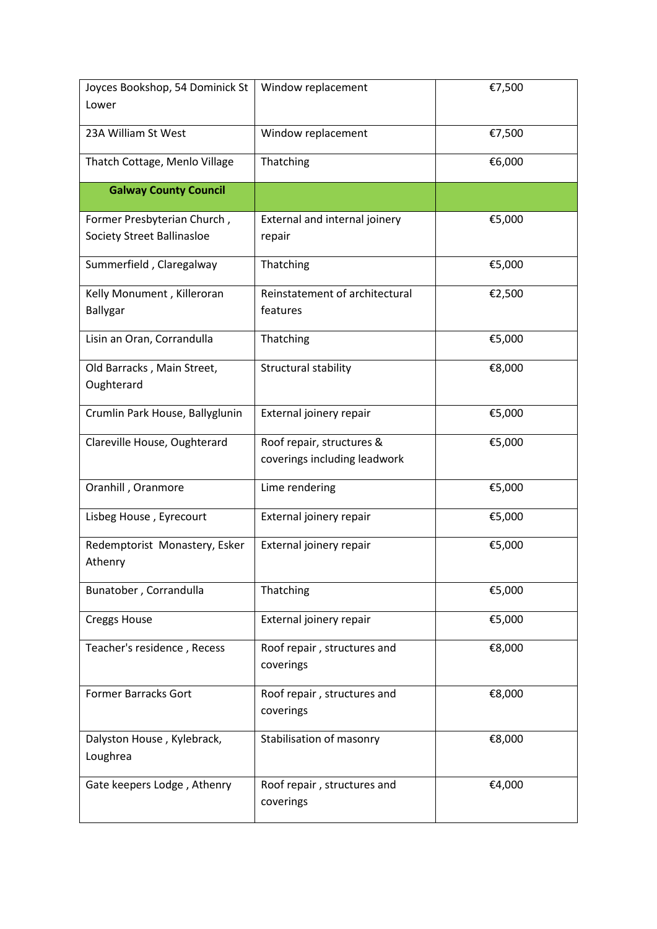| 23A William St West<br>Window replacement<br>€7,500<br>€6,000<br>Thatching<br>Thatch Cottage, Menlo Village<br><b>Galway County Council</b><br>Former Presbyterian Church,<br>External and internal joinery<br>€5,000<br><b>Society Street Ballinasloe</b><br>repair<br>Summerfield, Claregalway<br>Thatching<br>€5,000<br>Reinstatement of architectural<br>Kelly Monument, Killeroran<br>€2,500<br>Ballygar<br>features<br>Thatching<br>Lisin an Oran, Corrandulla<br>€5,000<br>Old Barracks, Main Street,<br>Structural stability<br>€8,000<br>Oughterard<br>Crumlin Park House, Ballyglunin<br>External joinery repair<br>€5,000<br>Roof repair, structures &<br>€5,000<br>Clareville House, Oughterard<br>coverings including leadwork<br>Oranhill, Oranmore<br>Lime rendering<br>€5,000<br>External joinery repair<br>€5,000<br>Lisbeg House, Eyrecourt<br>€5,000<br>Redemptorist Monastery, Esker<br>External joinery repair<br>Athenry<br>Bunatober, Corrandulla<br>Thatching<br>€5,000<br>External joinery repair<br>€5,000<br><b>Creggs House</b><br>Teacher's residence, Recess<br>Roof repair, structures and<br>€8,000<br>coverings<br><b>Former Barracks Gort</b><br>Roof repair, structures and<br>€8,000<br>coverings<br>Stabilisation of masonry<br>€8,000<br>Dalyston House, Kylebrack,<br>Loughrea<br>Gate keepers Lodge, Athenry<br>Roof repair, structures and<br>€4,000<br>coverings | Joyces Bookshop, 54 Dominick St | Window replacement | €7,500 |
|------------------------------------------------------------------------------------------------------------------------------------------------------------------------------------------------------------------------------------------------------------------------------------------------------------------------------------------------------------------------------------------------------------------------------------------------------------------------------------------------------------------------------------------------------------------------------------------------------------------------------------------------------------------------------------------------------------------------------------------------------------------------------------------------------------------------------------------------------------------------------------------------------------------------------------------------------------------------------------------------------------------------------------------------------------------------------------------------------------------------------------------------------------------------------------------------------------------------------------------------------------------------------------------------------------------------------------------------------------------------------------------------------------|---------------------------------|--------------------|--------|
|                                                                                                                                                                                                                                                                                                                                                                                                                                                                                                                                                                                                                                                                                                                                                                                                                                                                                                                                                                                                                                                                                                                                                                                                                                                                                                                                                                                                            | Lower                           |                    |        |
|                                                                                                                                                                                                                                                                                                                                                                                                                                                                                                                                                                                                                                                                                                                                                                                                                                                                                                                                                                                                                                                                                                                                                                                                                                                                                                                                                                                                            |                                 |                    |        |
|                                                                                                                                                                                                                                                                                                                                                                                                                                                                                                                                                                                                                                                                                                                                                                                                                                                                                                                                                                                                                                                                                                                                                                                                                                                                                                                                                                                                            |                                 |                    |        |
|                                                                                                                                                                                                                                                                                                                                                                                                                                                                                                                                                                                                                                                                                                                                                                                                                                                                                                                                                                                                                                                                                                                                                                                                                                                                                                                                                                                                            |                                 |                    |        |
|                                                                                                                                                                                                                                                                                                                                                                                                                                                                                                                                                                                                                                                                                                                                                                                                                                                                                                                                                                                                                                                                                                                                                                                                                                                                                                                                                                                                            |                                 |                    |        |
|                                                                                                                                                                                                                                                                                                                                                                                                                                                                                                                                                                                                                                                                                                                                                                                                                                                                                                                                                                                                                                                                                                                                                                                                                                                                                                                                                                                                            |                                 |                    |        |
|                                                                                                                                                                                                                                                                                                                                                                                                                                                                                                                                                                                                                                                                                                                                                                                                                                                                                                                                                                                                                                                                                                                                                                                                                                                                                                                                                                                                            |                                 |                    |        |
|                                                                                                                                                                                                                                                                                                                                                                                                                                                                                                                                                                                                                                                                                                                                                                                                                                                                                                                                                                                                                                                                                                                                                                                                                                                                                                                                                                                                            |                                 |                    |        |
|                                                                                                                                                                                                                                                                                                                                                                                                                                                                                                                                                                                                                                                                                                                                                                                                                                                                                                                                                                                                                                                                                                                                                                                                                                                                                                                                                                                                            |                                 |                    |        |
|                                                                                                                                                                                                                                                                                                                                                                                                                                                                                                                                                                                                                                                                                                                                                                                                                                                                                                                                                                                                                                                                                                                                                                                                                                                                                                                                                                                                            |                                 |                    |        |
|                                                                                                                                                                                                                                                                                                                                                                                                                                                                                                                                                                                                                                                                                                                                                                                                                                                                                                                                                                                                                                                                                                                                                                                                                                                                                                                                                                                                            |                                 |                    |        |
|                                                                                                                                                                                                                                                                                                                                                                                                                                                                                                                                                                                                                                                                                                                                                                                                                                                                                                                                                                                                                                                                                                                                                                                                                                                                                                                                                                                                            |                                 |                    |        |
|                                                                                                                                                                                                                                                                                                                                                                                                                                                                                                                                                                                                                                                                                                                                                                                                                                                                                                                                                                                                                                                                                                                                                                                                                                                                                                                                                                                                            |                                 |                    |        |
|                                                                                                                                                                                                                                                                                                                                                                                                                                                                                                                                                                                                                                                                                                                                                                                                                                                                                                                                                                                                                                                                                                                                                                                                                                                                                                                                                                                                            |                                 |                    |        |
|                                                                                                                                                                                                                                                                                                                                                                                                                                                                                                                                                                                                                                                                                                                                                                                                                                                                                                                                                                                                                                                                                                                                                                                                                                                                                                                                                                                                            |                                 |                    |        |
|                                                                                                                                                                                                                                                                                                                                                                                                                                                                                                                                                                                                                                                                                                                                                                                                                                                                                                                                                                                                                                                                                                                                                                                                                                                                                                                                                                                                            |                                 |                    |        |
|                                                                                                                                                                                                                                                                                                                                                                                                                                                                                                                                                                                                                                                                                                                                                                                                                                                                                                                                                                                                                                                                                                                                                                                                                                                                                                                                                                                                            |                                 |                    |        |
|                                                                                                                                                                                                                                                                                                                                                                                                                                                                                                                                                                                                                                                                                                                                                                                                                                                                                                                                                                                                                                                                                                                                                                                                                                                                                                                                                                                                            |                                 |                    |        |
|                                                                                                                                                                                                                                                                                                                                                                                                                                                                                                                                                                                                                                                                                                                                                                                                                                                                                                                                                                                                                                                                                                                                                                                                                                                                                                                                                                                                            |                                 |                    |        |
|                                                                                                                                                                                                                                                                                                                                                                                                                                                                                                                                                                                                                                                                                                                                                                                                                                                                                                                                                                                                                                                                                                                                                                                                                                                                                                                                                                                                            |                                 |                    |        |
|                                                                                                                                                                                                                                                                                                                                                                                                                                                                                                                                                                                                                                                                                                                                                                                                                                                                                                                                                                                                                                                                                                                                                                                                                                                                                                                                                                                                            |                                 |                    |        |
|                                                                                                                                                                                                                                                                                                                                                                                                                                                                                                                                                                                                                                                                                                                                                                                                                                                                                                                                                                                                                                                                                                                                                                                                                                                                                                                                                                                                            |                                 |                    |        |
|                                                                                                                                                                                                                                                                                                                                                                                                                                                                                                                                                                                                                                                                                                                                                                                                                                                                                                                                                                                                                                                                                                                                                                                                                                                                                                                                                                                                            |                                 |                    |        |
|                                                                                                                                                                                                                                                                                                                                                                                                                                                                                                                                                                                                                                                                                                                                                                                                                                                                                                                                                                                                                                                                                                                                                                                                                                                                                                                                                                                                            |                                 |                    |        |
|                                                                                                                                                                                                                                                                                                                                                                                                                                                                                                                                                                                                                                                                                                                                                                                                                                                                                                                                                                                                                                                                                                                                                                                                                                                                                                                                                                                                            |                                 |                    |        |
|                                                                                                                                                                                                                                                                                                                                                                                                                                                                                                                                                                                                                                                                                                                                                                                                                                                                                                                                                                                                                                                                                                                                                                                                                                                                                                                                                                                                            |                                 |                    |        |
|                                                                                                                                                                                                                                                                                                                                                                                                                                                                                                                                                                                                                                                                                                                                                                                                                                                                                                                                                                                                                                                                                                                                                                                                                                                                                                                                                                                                            |                                 |                    |        |
|                                                                                                                                                                                                                                                                                                                                                                                                                                                                                                                                                                                                                                                                                                                                                                                                                                                                                                                                                                                                                                                                                                                                                                                                                                                                                                                                                                                                            |                                 |                    |        |
|                                                                                                                                                                                                                                                                                                                                                                                                                                                                                                                                                                                                                                                                                                                                                                                                                                                                                                                                                                                                                                                                                                                                                                                                                                                                                                                                                                                                            |                                 |                    |        |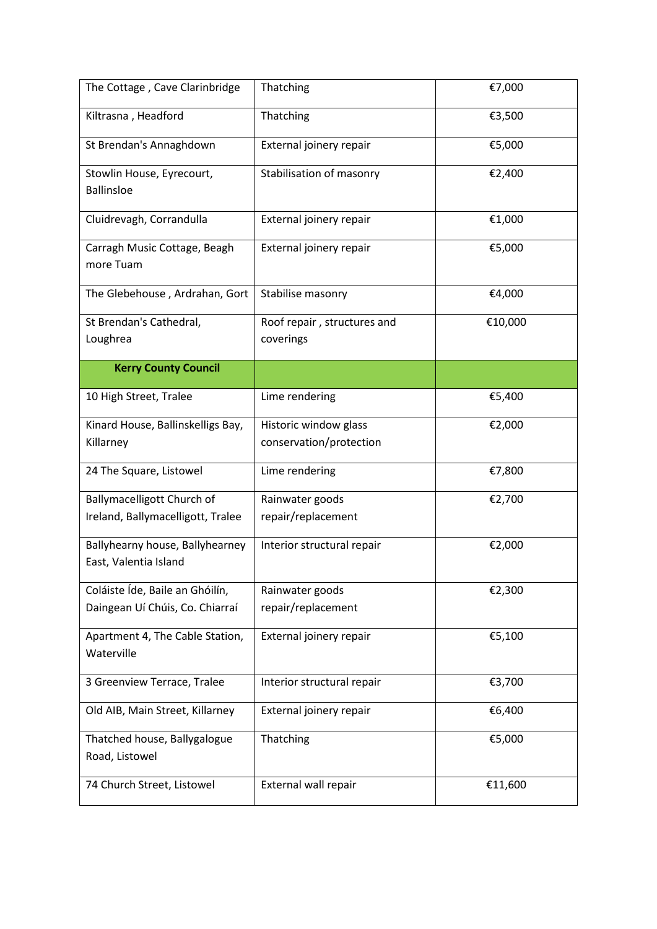| The Cottage, Cave Clarinbridge                                     | Thatching                                        | €7,000  |
|--------------------------------------------------------------------|--------------------------------------------------|---------|
| Kiltrasna, Headford                                                | Thatching                                        | €3,500  |
| St Brendan's Annaghdown                                            | External joinery repair                          | €5,000  |
| Stowlin House, Eyrecourt,<br><b>Ballinsloe</b>                     | Stabilisation of masonry                         | €2,400  |
| Cluidrevagh, Corrandulla                                           | External joinery repair                          | €1,000  |
| Carragh Music Cottage, Beagh<br>more Tuam                          | External joinery repair                          | €5,000  |
| The Glebehouse, Ardrahan, Gort                                     | Stabilise masonry                                | €4,000  |
| St Brendan's Cathedral,<br>Loughrea                                | Roof repair, structures and<br>coverings         | €10,000 |
| <b>Kerry County Council</b>                                        |                                                  |         |
| 10 High Street, Tralee                                             | Lime rendering                                   | €5,400  |
| Kinard House, Ballinskelligs Bay,<br>Killarney                     | Historic window glass<br>conservation/protection | €2,000  |
| 24 The Square, Listowel                                            | Lime rendering                                   | €7,800  |
| Ballymacelligott Church of<br>Ireland, Ballymacelligott, Tralee    | Rainwater goods<br>repair/replacement            | €2,700  |
| Ballyhearny house, Ballyhearney<br>East, Valentia Island           | Interior structural repair                       | €2,000  |
| Coláiste Íde, Baile an Ghóilín,<br>Daingean Uí Chúis, Co. Chiarraí | Rainwater goods<br>repair/replacement            | €2,300  |
| Apartment 4, The Cable Station,<br>Waterville                      | External joinery repair                          | €5,100  |
| 3 Greenview Terrace, Tralee                                        | Interior structural repair                       | €3,700  |
| Old AIB, Main Street, Killarney                                    | External joinery repair                          | €6,400  |
| Thatched house, Ballygalogue<br>Road, Listowel                     | Thatching                                        | €5,000  |
| 74 Church Street, Listowel                                         | External wall repair                             | €11,600 |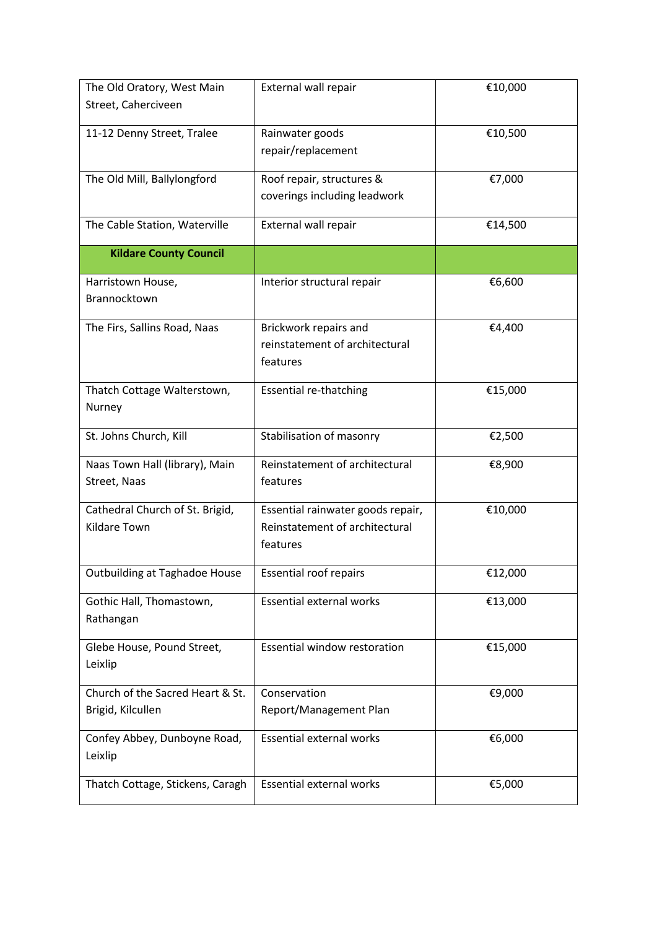| Street, Caherciveen<br>11-12 Denny Street, Tralee<br>Rainwater goods<br>€10,500<br>repair/replacement<br>Roof repair, structures &<br>The Old Mill, Ballylongford<br>€7,000<br>coverings including leadwork<br>External wall repair<br>The Cable Station, Waterville<br>€14,500<br><b>Kildare County Council</b><br>€6,600<br>Harristown House,<br>Interior structural repair<br>Brannocktown<br>The Firs, Sallins Road, Naas<br>Brickwork repairs and<br>€4,400<br>reinstatement of architectural<br>features<br>Thatch Cottage Walterstown,<br><b>Essential re-thatching</b><br>€15,000<br>Nurney<br>St. Johns Church, Kill<br>Stabilisation of masonry<br>€2,500<br>Reinstatement of architectural<br>€8,900<br>Naas Town Hall (library), Main<br>Street, Naas<br>features<br>Cathedral Church of St. Brigid,<br>Essential rainwater goods repair,<br>€10,000<br>Reinstatement of architectural<br><b>Kildare Town</b><br>features<br>Outbuilding at Taghadoe House<br><b>Essential roof repairs</b><br>€12,000<br>Gothic Hall, Thomastown,<br><b>Essential external works</b><br>€13,000<br>Rathangan<br><b>Essential window restoration</b><br>€15,000<br>Glebe House, Pound Street,<br>Leixlip<br>Church of the Sacred Heart & St.<br>Conservation<br>€9,000<br>Brigid, Kilcullen<br>Report/Management Plan<br><b>Essential external works</b><br>Confey Abbey, Dunboyne Road,<br>€6,000<br>Leixlip<br><b>Essential external works</b><br>€5,000<br>Thatch Cottage, Stickens, Caragh | The Old Oratory, West Main | External wall repair | €10,000 |
|--------------------------------------------------------------------------------------------------------------------------------------------------------------------------------------------------------------------------------------------------------------------------------------------------------------------------------------------------------------------------------------------------------------------------------------------------------------------------------------------------------------------------------------------------------------------------------------------------------------------------------------------------------------------------------------------------------------------------------------------------------------------------------------------------------------------------------------------------------------------------------------------------------------------------------------------------------------------------------------------------------------------------------------------------------------------------------------------------------------------------------------------------------------------------------------------------------------------------------------------------------------------------------------------------------------------------------------------------------------------------------------------------------------------------------------------------------------------------------------------|----------------------------|----------------------|---------|
|                                                                                                                                                                                                                                                                                                                                                                                                                                                                                                                                                                                                                                                                                                                                                                                                                                                                                                                                                                                                                                                                                                                                                                                                                                                                                                                                                                                                                                                                                            |                            |                      |         |
|                                                                                                                                                                                                                                                                                                                                                                                                                                                                                                                                                                                                                                                                                                                                                                                                                                                                                                                                                                                                                                                                                                                                                                                                                                                                                                                                                                                                                                                                                            |                            |                      |         |
|                                                                                                                                                                                                                                                                                                                                                                                                                                                                                                                                                                                                                                                                                                                                                                                                                                                                                                                                                                                                                                                                                                                                                                                                                                                                                                                                                                                                                                                                                            |                            |                      |         |
|                                                                                                                                                                                                                                                                                                                                                                                                                                                                                                                                                                                                                                                                                                                                                                                                                                                                                                                                                                                                                                                                                                                                                                                                                                                                                                                                                                                                                                                                                            |                            |                      |         |
|                                                                                                                                                                                                                                                                                                                                                                                                                                                                                                                                                                                                                                                                                                                                                                                                                                                                                                                                                                                                                                                                                                                                                                                                                                                                                                                                                                                                                                                                                            |                            |                      |         |
|                                                                                                                                                                                                                                                                                                                                                                                                                                                                                                                                                                                                                                                                                                                                                                                                                                                                                                                                                                                                                                                                                                                                                                                                                                                                                                                                                                                                                                                                                            |                            |                      |         |
|                                                                                                                                                                                                                                                                                                                                                                                                                                                                                                                                                                                                                                                                                                                                                                                                                                                                                                                                                                                                                                                                                                                                                                                                                                                                                                                                                                                                                                                                                            |                            |                      |         |
|                                                                                                                                                                                                                                                                                                                                                                                                                                                                                                                                                                                                                                                                                                                                                                                                                                                                                                                                                                                                                                                                                                                                                                                                                                                                                                                                                                                                                                                                                            |                            |                      |         |
|                                                                                                                                                                                                                                                                                                                                                                                                                                                                                                                                                                                                                                                                                                                                                                                                                                                                                                                                                                                                                                                                                                                                                                                                                                                                                                                                                                                                                                                                                            |                            |                      |         |
|                                                                                                                                                                                                                                                                                                                                                                                                                                                                                                                                                                                                                                                                                                                                                                                                                                                                                                                                                                                                                                                                                                                                                                                                                                                                                                                                                                                                                                                                                            |                            |                      |         |
|                                                                                                                                                                                                                                                                                                                                                                                                                                                                                                                                                                                                                                                                                                                                                                                                                                                                                                                                                                                                                                                                                                                                                                                                                                                                                                                                                                                                                                                                                            |                            |                      |         |
|                                                                                                                                                                                                                                                                                                                                                                                                                                                                                                                                                                                                                                                                                                                                                                                                                                                                                                                                                                                                                                                                                                                                                                                                                                                                                                                                                                                                                                                                                            |                            |                      |         |
|                                                                                                                                                                                                                                                                                                                                                                                                                                                                                                                                                                                                                                                                                                                                                                                                                                                                                                                                                                                                                                                                                                                                                                                                                                                                                                                                                                                                                                                                                            |                            |                      |         |
|                                                                                                                                                                                                                                                                                                                                                                                                                                                                                                                                                                                                                                                                                                                                                                                                                                                                                                                                                                                                                                                                                                                                                                                                                                                                                                                                                                                                                                                                                            |                            |                      |         |
|                                                                                                                                                                                                                                                                                                                                                                                                                                                                                                                                                                                                                                                                                                                                                                                                                                                                                                                                                                                                                                                                                                                                                                                                                                                                                                                                                                                                                                                                                            |                            |                      |         |
|                                                                                                                                                                                                                                                                                                                                                                                                                                                                                                                                                                                                                                                                                                                                                                                                                                                                                                                                                                                                                                                                                                                                                                                                                                                                                                                                                                                                                                                                                            |                            |                      |         |
|                                                                                                                                                                                                                                                                                                                                                                                                                                                                                                                                                                                                                                                                                                                                                                                                                                                                                                                                                                                                                                                                                                                                                                                                                                                                                                                                                                                                                                                                                            |                            |                      |         |
|                                                                                                                                                                                                                                                                                                                                                                                                                                                                                                                                                                                                                                                                                                                                                                                                                                                                                                                                                                                                                                                                                                                                                                                                                                                                                                                                                                                                                                                                                            |                            |                      |         |
|                                                                                                                                                                                                                                                                                                                                                                                                                                                                                                                                                                                                                                                                                                                                                                                                                                                                                                                                                                                                                                                                                                                                                                                                                                                                                                                                                                                                                                                                                            |                            |                      |         |
|                                                                                                                                                                                                                                                                                                                                                                                                                                                                                                                                                                                                                                                                                                                                                                                                                                                                                                                                                                                                                                                                                                                                                                                                                                                                                                                                                                                                                                                                                            |                            |                      |         |
|                                                                                                                                                                                                                                                                                                                                                                                                                                                                                                                                                                                                                                                                                                                                                                                                                                                                                                                                                                                                                                                                                                                                                                                                                                                                                                                                                                                                                                                                                            |                            |                      |         |
|                                                                                                                                                                                                                                                                                                                                                                                                                                                                                                                                                                                                                                                                                                                                                                                                                                                                                                                                                                                                                                                                                                                                                                                                                                                                                                                                                                                                                                                                                            |                            |                      |         |
|                                                                                                                                                                                                                                                                                                                                                                                                                                                                                                                                                                                                                                                                                                                                                                                                                                                                                                                                                                                                                                                                                                                                                                                                                                                                                                                                                                                                                                                                                            |                            |                      |         |
|                                                                                                                                                                                                                                                                                                                                                                                                                                                                                                                                                                                                                                                                                                                                                                                                                                                                                                                                                                                                                                                                                                                                                                                                                                                                                                                                                                                                                                                                                            |                            |                      |         |
|                                                                                                                                                                                                                                                                                                                                                                                                                                                                                                                                                                                                                                                                                                                                                                                                                                                                                                                                                                                                                                                                                                                                                                                                                                                                                                                                                                                                                                                                                            |                            |                      |         |
|                                                                                                                                                                                                                                                                                                                                                                                                                                                                                                                                                                                                                                                                                                                                                                                                                                                                                                                                                                                                                                                                                                                                                                                                                                                                                                                                                                                                                                                                                            |                            |                      |         |
|                                                                                                                                                                                                                                                                                                                                                                                                                                                                                                                                                                                                                                                                                                                                                                                                                                                                                                                                                                                                                                                                                                                                                                                                                                                                                                                                                                                                                                                                                            |                            |                      |         |
|                                                                                                                                                                                                                                                                                                                                                                                                                                                                                                                                                                                                                                                                                                                                                                                                                                                                                                                                                                                                                                                                                                                                                                                                                                                                                                                                                                                                                                                                                            |                            |                      |         |
|                                                                                                                                                                                                                                                                                                                                                                                                                                                                                                                                                                                                                                                                                                                                                                                                                                                                                                                                                                                                                                                                                                                                                                                                                                                                                                                                                                                                                                                                                            |                            |                      |         |
|                                                                                                                                                                                                                                                                                                                                                                                                                                                                                                                                                                                                                                                                                                                                                                                                                                                                                                                                                                                                                                                                                                                                                                                                                                                                                                                                                                                                                                                                                            |                            |                      |         |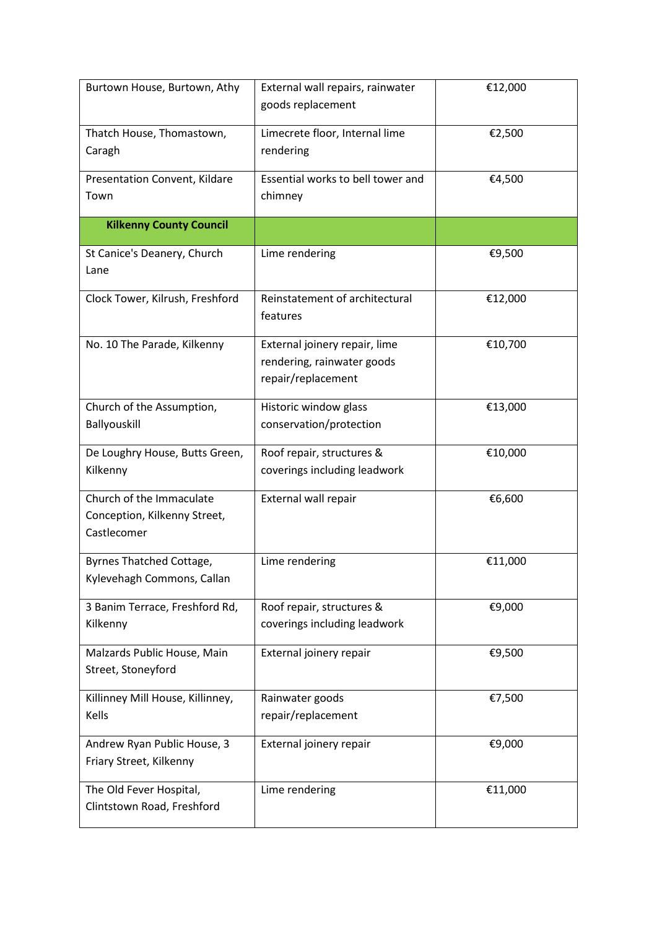| Burtown House, Burtown, Athy                                            | External wall repairs, rainwater<br>goods replacement                             | €12,000 |
|-------------------------------------------------------------------------|-----------------------------------------------------------------------------------|---------|
| Thatch House, Thomastown,<br>Caragh                                     | Limecrete floor, Internal lime<br>rendering                                       | €2,500  |
| Presentation Convent, Kildare<br>Town                                   | Essential works to bell tower and<br>chimney                                      | €4,500  |
| <b>Kilkenny County Council</b>                                          |                                                                                   |         |
| St Canice's Deanery, Church<br>Lane                                     | Lime rendering                                                                    | €9,500  |
| Clock Tower, Kilrush, Freshford                                         | Reinstatement of architectural<br>features                                        | €12,000 |
| No. 10 The Parade, Kilkenny                                             | External joinery repair, lime<br>rendering, rainwater goods<br>repair/replacement | €10,700 |
| Church of the Assumption,<br>Ballyouskill                               | Historic window glass<br>conservation/protection                                  | €13,000 |
| De Loughry House, Butts Green,<br>Kilkenny                              | Roof repair, structures &<br>coverings including leadwork                         | €10,000 |
| Church of the Immaculate<br>Conception, Kilkenny Street,<br>Castlecomer | External wall repair                                                              | €6,600  |
| Byrnes Thatched Cottage,<br>Kylevehagh Commons, Callan                  | Lime rendering                                                                    | €11,000 |
| 3 Banim Terrace, Freshford Rd,<br>Kilkenny                              | Roof repair, structures &<br>coverings including leadwork                         | €9,000  |
| Malzards Public House, Main<br>Street, Stoneyford                       | External joinery repair                                                           | €9,500  |
| Killinney Mill House, Killinney,<br>Kells                               | Rainwater goods<br>repair/replacement                                             | €7,500  |
| Andrew Ryan Public House, 3<br>Friary Street, Kilkenny                  | External joinery repair                                                           | €9,000  |
| The Old Fever Hospital,<br>Clintstown Road, Freshford                   | Lime rendering                                                                    | €11,000 |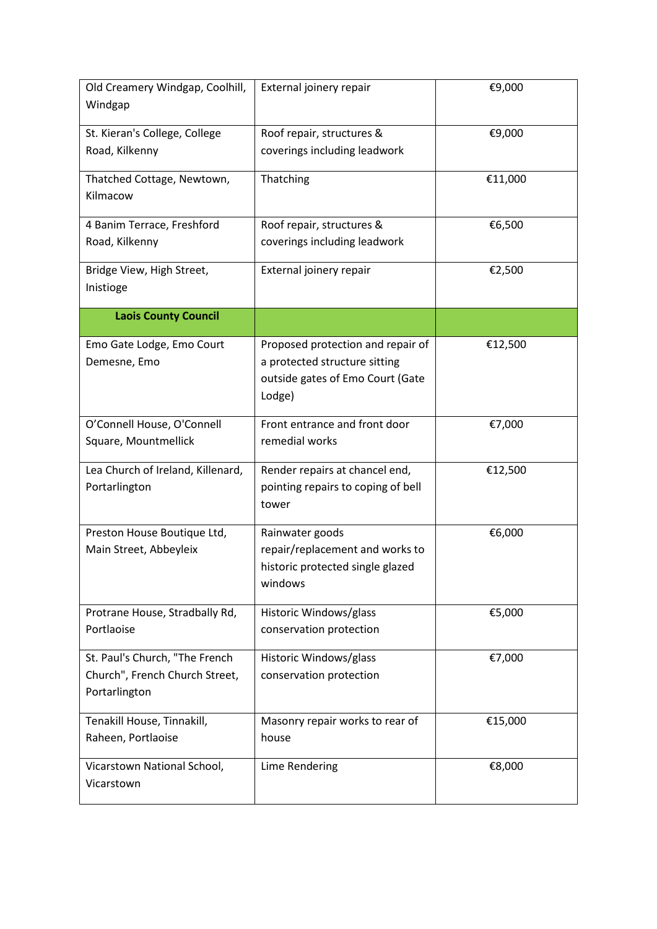| Windgap<br>Roof repair, structures &<br>St. Kieran's College, College<br>€9,000<br>coverings including leadwork<br>Road, Kilkenny<br>Thatching<br>€11,000<br>Thatched Cottage, Newtown,<br>Kilmacow<br>Roof repair, structures &<br>€6,500<br>4 Banim Terrace, Freshford<br>coverings including leadwork<br>Road, Kilkenny<br>Bridge View, High Street,<br>External joinery repair<br>€2,500<br>Inistioge<br><b>Laois County Council</b><br>Proposed protection and repair of<br>€12,500<br>Emo Gate Lodge, Emo Court<br>Demesne, Emo<br>a protected structure sitting<br>outside gates of Emo Court (Gate<br>Lodge)<br>Front entrance and front door<br>O'Connell House, O'Connell<br>€7,000<br>remedial works<br>Square, Mountmellick<br>Lea Church of Ireland, Killenard,<br>Render repairs at chancel end,<br>€12,500<br>Portarlington<br>pointing repairs to coping of bell<br>tower<br>Preston House Boutique Ltd,<br>Rainwater goods<br>€6,000<br>repair/replacement and works to<br>Main Street, Abbeyleix |
|--------------------------------------------------------------------------------------------------------------------------------------------------------------------------------------------------------------------------------------------------------------------------------------------------------------------------------------------------------------------------------------------------------------------------------------------------------------------------------------------------------------------------------------------------------------------------------------------------------------------------------------------------------------------------------------------------------------------------------------------------------------------------------------------------------------------------------------------------------------------------------------------------------------------------------------------------------------------------------------------------------------------|
|                                                                                                                                                                                                                                                                                                                                                                                                                                                                                                                                                                                                                                                                                                                                                                                                                                                                                                                                                                                                                    |
|                                                                                                                                                                                                                                                                                                                                                                                                                                                                                                                                                                                                                                                                                                                                                                                                                                                                                                                                                                                                                    |
|                                                                                                                                                                                                                                                                                                                                                                                                                                                                                                                                                                                                                                                                                                                                                                                                                                                                                                                                                                                                                    |
|                                                                                                                                                                                                                                                                                                                                                                                                                                                                                                                                                                                                                                                                                                                                                                                                                                                                                                                                                                                                                    |
|                                                                                                                                                                                                                                                                                                                                                                                                                                                                                                                                                                                                                                                                                                                                                                                                                                                                                                                                                                                                                    |
|                                                                                                                                                                                                                                                                                                                                                                                                                                                                                                                                                                                                                                                                                                                                                                                                                                                                                                                                                                                                                    |
|                                                                                                                                                                                                                                                                                                                                                                                                                                                                                                                                                                                                                                                                                                                                                                                                                                                                                                                                                                                                                    |
|                                                                                                                                                                                                                                                                                                                                                                                                                                                                                                                                                                                                                                                                                                                                                                                                                                                                                                                                                                                                                    |
|                                                                                                                                                                                                                                                                                                                                                                                                                                                                                                                                                                                                                                                                                                                                                                                                                                                                                                                                                                                                                    |
|                                                                                                                                                                                                                                                                                                                                                                                                                                                                                                                                                                                                                                                                                                                                                                                                                                                                                                                                                                                                                    |
|                                                                                                                                                                                                                                                                                                                                                                                                                                                                                                                                                                                                                                                                                                                                                                                                                                                                                                                                                                                                                    |
|                                                                                                                                                                                                                                                                                                                                                                                                                                                                                                                                                                                                                                                                                                                                                                                                                                                                                                                                                                                                                    |
|                                                                                                                                                                                                                                                                                                                                                                                                                                                                                                                                                                                                                                                                                                                                                                                                                                                                                                                                                                                                                    |
|                                                                                                                                                                                                                                                                                                                                                                                                                                                                                                                                                                                                                                                                                                                                                                                                                                                                                                                                                                                                                    |
|                                                                                                                                                                                                                                                                                                                                                                                                                                                                                                                                                                                                                                                                                                                                                                                                                                                                                                                                                                                                                    |
|                                                                                                                                                                                                                                                                                                                                                                                                                                                                                                                                                                                                                                                                                                                                                                                                                                                                                                                                                                                                                    |
|                                                                                                                                                                                                                                                                                                                                                                                                                                                                                                                                                                                                                                                                                                                                                                                                                                                                                                                                                                                                                    |
|                                                                                                                                                                                                                                                                                                                                                                                                                                                                                                                                                                                                                                                                                                                                                                                                                                                                                                                                                                                                                    |
|                                                                                                                                                                                                                                                                                                                                                                                                                                                                                                                                                                                                                                                                                                                                                                                                                                                                                                                                                                                                                    |
|                                                                                                                                                                                                                                                                                                                                                                                                                                                                                                                                                                                                                                                                                                                                                                                                                                                                                                                                                                                                                    |
|                                                                                                                                                                                                                                                                                                                                                                                                                                                                                                                                                                                                                                                                                                                                                                                                                                                                                                                                                                                                                    |
| historic protected single glazed                                                                                                                                                                                                                                                                                                                                                                                                                                                                                                                                                                                                                                                                                                                                                                                                                                                                                                                                                                                   |
| windows                                                                                                                                                                                                                                                                                                                                                                                                                                                                                                                                                                                                                                                                                                                                                                                                                                                                                                                                                                                                            |
| Protrane House, Stradbally Rd,<br>Historic Windows/glass<br>€5,000                                                                                                                                                                                                                                                                                                                                                                                                                                                                                                                                                                                                                                                                                                                                                                                                                                                                                                                                                 |
| Portlaoise<br>conservation protection                                                                                                                                                                                                                                                                                                                                                                                                                                                                                                                                                                                                                                                                                                                                                                                                                                                                                                                                                                              |
| St. Paul's Church, "The French<br>Historic Windows/glass<br>€7,000                                                                                                                                                                                                                                                                                                                                                                                                                                                                                                                                                                                                                                                                                                                                                                                                                                                                                                                                                 |
| Church", French Church Street,<br>conservation protection                                                                                                                                                                                                                                                                                                                                                                                                                                                                                                                                                                                                                                                                                                                                                                                                                                                                                                                                                          |
| Portarlington                                                                                                                                                                                                                                                                                                                                                                                                                                                                                                                                                                                                                                                                                                                                                                                                                                                                                                                                                                                                      |
| Tenakill House, Tinnakill,<br>€15,000<br>Masonry repair works to rear of                                                                                                                                                                                                                                                                                                                                                                                                                                                                                                                                                                                                                                                                                                                                                                                                                                                                                                                                           |
| Raheen, Portlaoise<br>house                                                                                                                                                                                                                                                                                                                                                                                                                                                                                                                                                                                                                                                                                                                                                                                                                                                                                                                                                                                        |
| Lime Rendering<br>€8,000<br>Vicarstown National School,                                                                                                                                                                                                                                                                                                                                                                                                                                                                                                                                                                                                                                                                                                                                                                                                                                                                                                                                                            |
| Vicarstown                                                                                                                                                                                                                                                                                                                                                                                                                                                                                                                                                                                                                                                                                                                                                                                                                                                                                                                                                                                                         |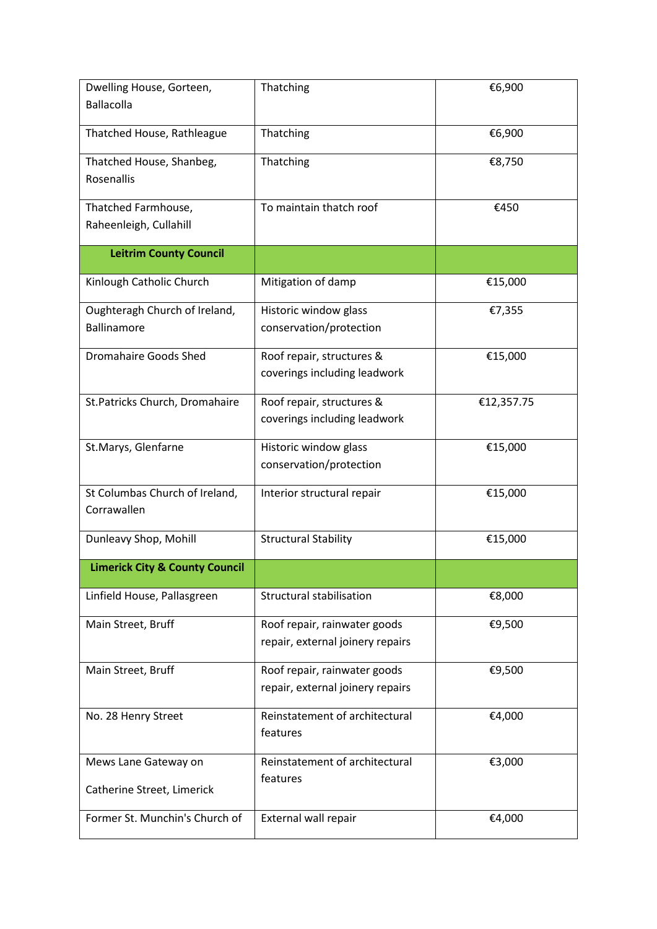| Dwelling House, Gorteen,<br><b>Ballacolla</b>      | Thatching                                                        | €6,900     |
|----------------------------------------------------|------------------------------------------------------------------|------------|
| Thatched House, Rathleague                         | Thatching                                                        | €6,900     |
| Thatched House, Shanbeg,<br>Rosenallis             | Thatching                                                        | €8,750     |
| Thatched Farmhouse,<br>Raheenleigh, Cullahill      | To maintain thatch roof                                          | €450       |
| <b>Leitrim County Council</b>                      |                                                                  |            |
| Kinlough Catholic Church                           | Mitigation of damp                                               | €15,000    |
| Oughteragh Church of Ireland,<br>Ballinamore       | Historic window glass<br>conservation/protection                 | €7,355     |
| <b>Dromahaire Goods Shed</b>                       | Roof repair, structures &<br>coverings including leadwork        | €15,000    |
| St.Patricks Church, Dromahaire                     | Roof repair, structures &<br>coverings including leadwork        | €12,357.75 |
| St.Marys, Glenfarne                                | Historic window glass<br>conservation/protection                 | €15,000    |
| St Columbas Church of Ireland,<br>Corrawallen      | Interior structural repair                                       | €15,000    |
| Dunleavy Shop, Mohill                              | <b>Structural Stability</b>                                      | €15,000    |
| <b>Limerick City &amp; County Council</b>          |                                                                  |            |
| Linfield House, Pallasgreen                        | Structural stabilisation                                         | €8,000     |
| Main Street, Bruff                                 | Roof repair, rainwater goods<br>repair, external joinery repairs | €9,500     |
| Main Street, Bruff                                 | Roof repair, rainwater goods<br>repair, external joinery repairs | €9,500     |
| No. 28 Henry Street                                | Reinstatement of architectural<br>features                       | €4,000     |
| Mews Lane Gateway on<br>Catherine Street, Limerick | Reinstatement of architectural<br>features                       | €3,000     |
| Former St. Munchin's Church of                     | External wall repair                                             | €4,000     |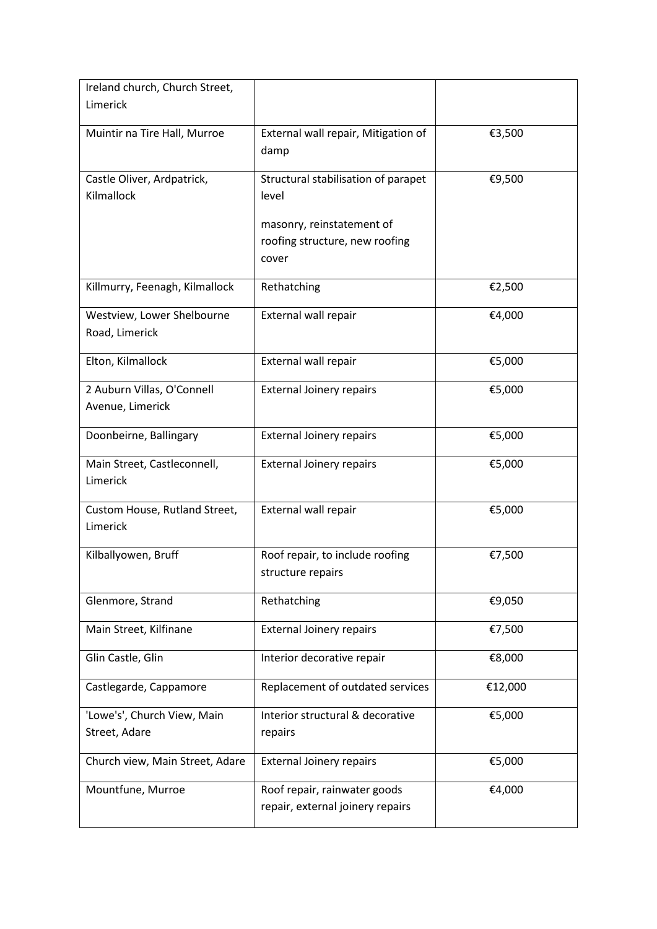| Ireland church, Church Street,                 |                                                                                                             |         |
|------------------------------------------------|-------------------------------------------------------------------------------------------------------------|---------|
| Limerick                                       |                                                                                                             |         |
| Muintir na Tire Hall, Murroe                   | External wall repair, Mitigation of<br>damp                                                                 | €3,500  |
| Castle Oliver, Ardpatrick,<br>Kilmallock       | Structural stabilisation of parapet<br>level<br>masonry, reinstatement of<br>roofing structure, new roofing | €9,500  |
|                                                | cover                                                                                                       |         |
| Killmurry, Feenagh, Kilmallock                 | Rethatching                                                                                                 | €2,500  |
| Westview, Lower Shelbourne<br>Road, Limerick   | External wall repair                                                                                        | €4,000  |
| Elton, Kilmallock                              | External wall repair                                                                                        | €5,000  |
| 2 Auburn Villas, O'Connell<br>Avenue, Limerick | <b>External Joinery repairs</b>                                                                             | €5,000  |
| Doonbeirne, Ballingary                         | <b>External Joinery repairs</b>                                                                             | €5,000  |
| Main Street, Castleconnell,<br>Limerick        | <b>External Joinery repairs</b>                                                                             | €5,000  |
| Custom House, Rutland Street,<br>Limerick      | External wall repair                                                                                        | €5,000  |
| Kilballyowen, Bruff                            | Roof repair, to include roofing<br>structure repairs                                                        | €7,500  |
| Glenmore, Strand                               | Rethatching                                                                                                 | €9,050  |
| Main Street, Kilfinane                         | <b>External Joinery repairs</b>                                                                             | €7,500  |
| Glin Castle, Glin                              | Interior decorative repair                                                                                  | €8,000  |
| Castlegarde, Cappamore                         | Replacement of outdated services                                                                            | €12,000 |
| 'Lowe's', Church View, Main<br>Street, Adare   | Interior structural & decorative<br>repairs                                                                 | €5,000  |
| Church view, Main Street, Adare                | <b>External Joinery repairs</b>                                                                             | €5,000  |
| Mountfune, Murroe                              | Roof repair, rainwater goods<br>repair, external joinery repairs                                            | €4,000  |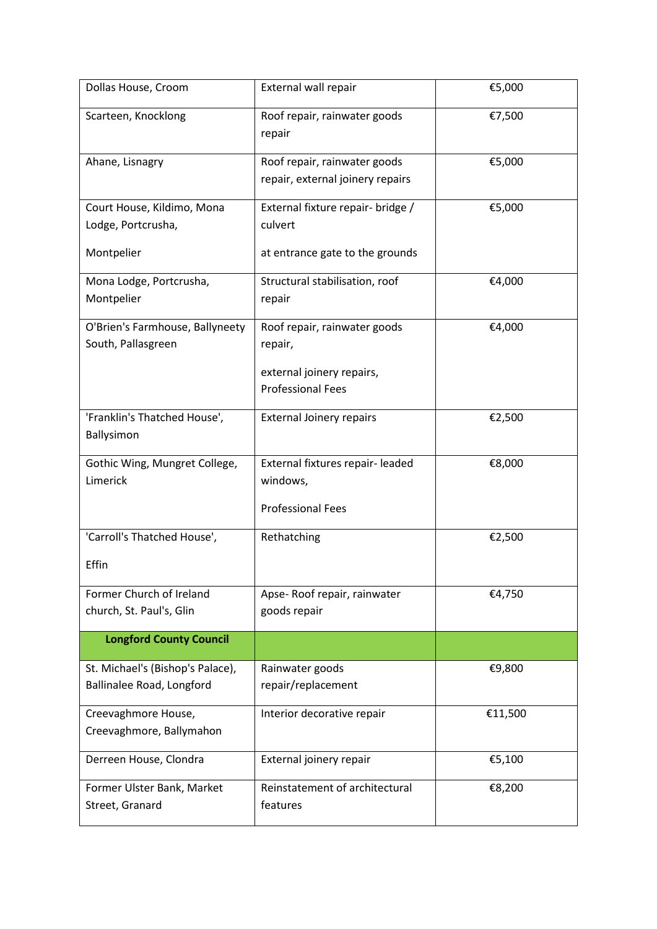| Dollas House, Croom                                           | External wall repair                                                     | €5,000  |
|---------------------------------------------------------------|--------------------------------------------------------------------------|---------|
| Scarteen, Knocklong                                           | Roof repair, rainwater goods<br>repair                                   | €7,500  |
| Ahane, Lisnagry                                               | Roof repair, rainwater goods<br>repair, external joinery repairs         | €5,000  |
| Court House, Kildimo, Mona<br>Lodge, Portcrusha,              | External fixture repair- bridge /<br>culvert                             | €5,000  |
| Montpelier                                                    | at entrance gate to the grounds                                          |         |
| Mona Lodge, Portcrusha,<br>Montpelier                         | Structural stabilisation, roof<br>repair                                 | €4,000  |
| O'Brien's Farmhouse, Ballyneety<br>South, Pallasgreen         | Roof repair, rainwater goods<br>repair,                                  | €4,000  |
|                                                               | external joinery repairs,<br><b>Professional Fees</b>                    |         |
| 'Franklin's Thatched House',<br>Ballysimon                    | <b>External Joinery repairs</b>                                          | €2,500  |
| Gothic Wing, Mungret College,<br>Limerick                     | External fixtures repair- leaded<br>windows,<br><b>Professional Fees</b> | €8,000  |
| 'Carroll's Thatched House',<br>Effin                          | Rethatching                                                              | €2,500  |
| Former Church of Ireland<br>church, St. Paul's, Glin          | Apse-Roof repair, rainwater<br>goods repair                              | €4,750  |
| <b>Longford County Council</b>                                |                                                                          |         |
| St. Michael's (Bishop's Palace),<br>Ballinalee Road, Longford | Rainwater goods<br>repair/replacement                                    | €9,800  |
| Creevaghmore House,<br>Creevaghmore, Ballymahon               | Interior decorative repair                                               | €11,500 |
| Derreen House, Clondra                                        | External joinery repair                                                  | €5,100  |
| Former Ulster Bank, Market<br>Street, Granard                 | Reinstatement of architectural<br>features                               | €8,200  |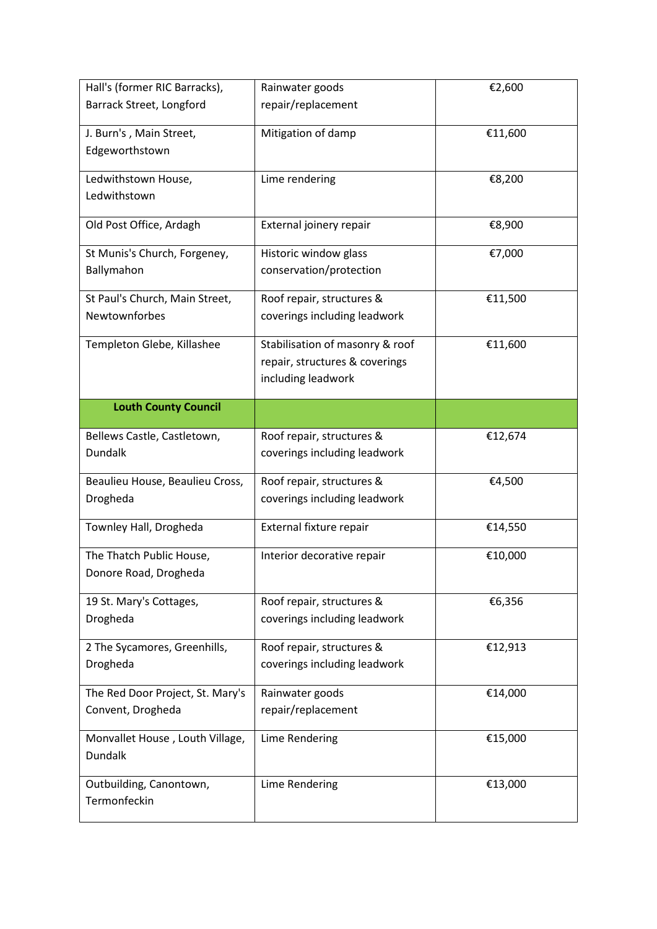| Hall's (former RIC Barracks),                         | Rainwater goods                       | €2,600  |
|-------------------------------------------------------|---------------------------------------|---------|
| Barrack Street, Longford                              | repair/replacement                    |         |
| J. Burn's, Main Street,                               | Mitigation of damp                    | €11,600 |
| Edgeworthstown                                        |                                       |         |
| Ledwithstown House,                                   | Lime rendering                        | €8,200  |
| Ledwithstown                                          |                                       |         |
|                                                       |                                       |         |
| Old Post Office, Ardagh                               | External joinery repair               | €8,900  |
| St Munis's Church, Forgeney,                          | Historic window glass                 | €7,000  |
| Ballymahon                                            | conservation/protection               |         |
| St Paul's Church, Main Street,                        | Roof repair, structures &             | €11,500 |
| Newtownforbes                                         | coverings including leadwork          |         |
| Templeton Glebe, Killashee                            | Stabilisation of masonry & roof       | €11,600 |
|                                                       | repair, structures & coverings        |         |
|                                                       | including leadwork                    |         |
| <b>Louth County Council</b>                           |                                       |         |
|                                                       |                                       |         |
| Bellews Castle, Castletown,                           | Roof repair, structures &             | €12,674 |
| <b>Dundalk</b>                                        | coverings including leadwork          |         |
| Beaulieu House, Beaulieu Cross,                       | Roof repair, structures &             | €4,500  |
| Drogheda                                              | coverings including leadwork          |         |
| Townley Hall, Drogheda                                | External fixture repair               | €14,550 |
| The Thatch Public House,                              | Interior decorative repair            | €10,000 |
| Donore Road, Drogheda                                 |                                       |         |
| 19 St. Mary's Cottages,                               | Roof repair, structures &             | €6,356  |
| Drogheda                                              | coverings including leadwork          |         |
| 2 The Sycamores, Greenhills,                          | Roof repair, structures &             | €12,913 |
| Drogheda                                              | coverings including leadwork          |         |
|                                                       |                                       |         |
| The Red Door Project, St. Mary's<br>Convent, Drogheda | Rainwater goods<br>repair/replacement | €14,000 |
|                                                       |                                       |         |
| Monvallet House, Louth Village,                       | Lime Rendering                        | €15,000 |
| Dundalk                                               |                                       |         |
| Outbuilding, Canontown,                               | Lime Rendering                        | €13,000 |
| Termonfeckin                                          |                                       |         |
|                                                       |                                       |         |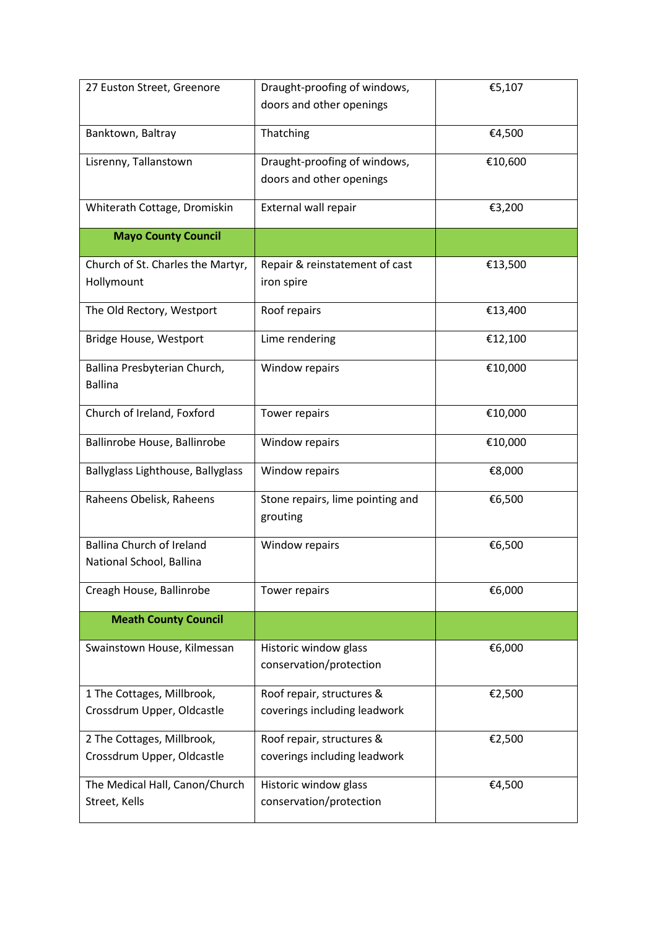| 27 Euston Street, Greenore                                   | Draught-proofing of windows,<br>doors and other openings | €5,107  |
|--------------------------------------------------------------|----------------------------------------------------------|---------|
|                                                              |                                                          |         |
| Banktown, Baltray                                            | Thatching                                                | €4,500  |
| Lisrenny, Tallanstown                                        | Draught-proofing of windows,                             | €10,600 |
|                                                              | doors and other openings                                 |         |
| Whiterath Cottage, Dromiskin                                 | External wall repair                                     | €3,200  |
| <b>Mayo County Council</b>                                   |                                                          |         |
| Church of St. Charles the Martyr,<br>Hollymount              | Repair & reinstatement of cast<br>iron spire             | €13,500 |
| The Old Rectory, Westport                                    | Roof repairs                                             | €13,400 |
| Bridge House, Westport                                       | Lime rendering                                           | €12,100 |
| Ballina Presbyterian Church,<br><b>Ballina</b>               | Window repairs                                           | €10,000 |
| Church of Ireland, Foxford                                   | Tower repairs                                            | €10,000 |
| Ballinrobe House, Ballinrobe                                 | Window repairs                                           | €10,000 |
| Ballyglass Lighthouse, Ballyglass                            | Window repairs                                           | €8,000  |
| Raheens Obelisk, Raheens                                     | Stone repairs, lime pointing and<br>grouting             | €6,500  |
| <b>Ballina Church of Ireland</b><br>National School, Ballina | Window repairs                                           | €6,500  |
| Creagh House, Ballinrobe                                     | Tower repairs                                            | €6,000  |
| <b>Meath County Council</b>                                  |                                                          |         |
| Swainstown House, Kilmessan                                  | Historic window glass<br>conservation/protection         | €6,000  |
| 1 The Cottages, Millbrook,                                   | Roof repair, structures &                                | €2,500  |
| Crossdrum Upper, Oldcastle                                   | coverings including leadwork                             |         |
| 2 The Cottages, Millbrook,                                   | Roof repair, structures &                                | €2,500  |
| Crossdrum Upper, Oldcastle                                   | coverings including leadwork                             |         |
| The Medical Hall, Canon/Church                               | Historic window glass                                    | €4,500  |
| Street, Kells                                                | conservation/protection                                  |         |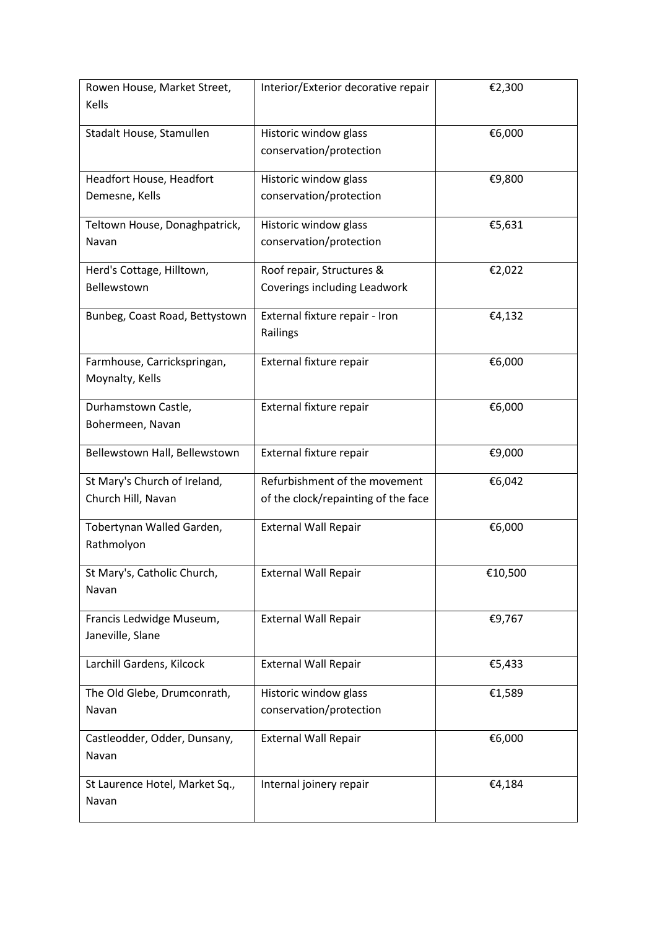| Rowen House, Market Street,            | Interior/Exterior decorative repair              | €2,300  |
|----------------------------------------|--------------------------------------------------|---------|
| Kells                                  |                                                  |         |
| Stadalt House, Stamullen               | Historic window glass                            | €6,000  |
|                                        | conservation/protection                          |         |
|                                        |                                                  |         |
| Headfort House, Headfort               | Historic window glass                            | €9,800  |
| Demesne, Kells                         | conservation/protection                          |         |
|                                        |                                                  | €5,631  |
| Teltown House, Donaghpatrick,<br>Navan | Historic window glass<br>conservation/protection |         |
|                                        |                                                  |         |
| Herd's Cottage, Hilltown,              | Roof repair, Structures &                        | €2,022  |
| Bellewstown                            | Coverings including Leadwork                     |         |
|                                        |                                                  |         |
| Bunbeg, Coast Road, Bettystown         | External fixture repair - Iron<br>Railings       | €4,132  |
|                                        |                                                  |         |
| Farmhouse, Carrickspringan,            | External fixture repair                          | €6,000  |
| Moynalty, Kells                        |                                                  |         |
|                                        |                                                  |         |
| Durhamstown Castle,                    | External fixture repair                          | €6,000  |
| Bohermeen, Navan                       |                                                  |         |
| Bellewstown Hall, Bellewstown          | External fixture repair                          | €9,000  |
|                                        |                                                  |         |
| St Mary's Church of Ireland,           | Refurbishment of the movement                    | €6,042  |
| Church Hill, Navan                     | of the clock/repainting of the face              |         |
| Tobertynan Walled Garden,              | <b>External Wall Repair</b>                      | €6,000  |
| Rathmolyon                             |                                                  |         |
|                                        |                                                  |         |
| St Mary's, Catholic Church,<br>Navan   | <b>External Wall Repair</b>                      | €10,500 |
|                                        |                                                  |         |
| Francis Ledwidge Museum,               | <b>External Wall Repair</b>                      | €9,767  |
| Janeville, Slane                       |                                                  |         |
| Larchill Gardens, Kilcock              | <b>External Wall Repair</b>                      | €5,433  |
|                                        |                                                  |         |
| The Old Glebe, Drumconrath,            | Historic window glass                            | €1,589  |
| Navan                                  | conservation/protection                          |         |
|                                        |                                                  |         |
| Castleodder, Odder, Dunsany,<br>Navan  | <b>External Wall Repair</b>                      | €6,000  |
|                                        |                                                  |         |
| St Laurence Hotel, Market Sq.,         | Internal joinery repair                          | €4,184  |
| Navan                                  |                                                  |         |
|                                        |                                                  |         |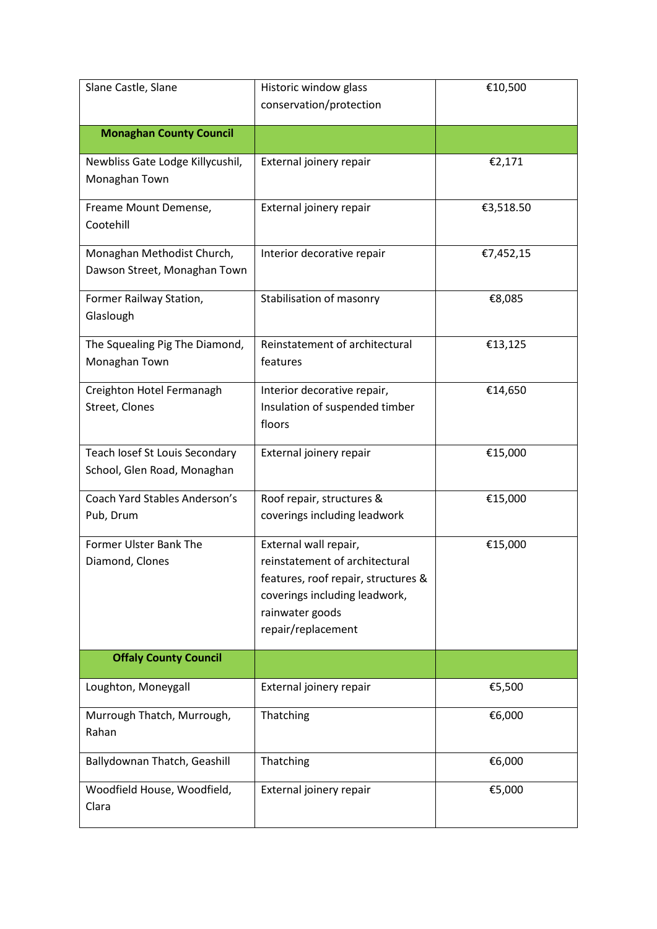| Slane Castle, Slane                                           | Historic window glass                                                                                                                                                    | €10,500   |
|---------------------------------------------------------------|--------------------------------------------------------------------------------------------------------------------------------------------------------------------------|-----------|
|                                                               | conservation/protection                                                                                                                                                  |           |
| <b>Monaghan County Council</b>                                |                                                                                                                                                                          |           |
| Newbliss Gate Lodge Killycushil,                              | External joinery repair                                                                                                                                                  | €2,171    |
| Monaghan Town                                                 |                                                                                                                                                                          |           |
| Freame Mount Demense,<br>Cootehill                            | External joinery repair                                                                                                                                                  | €3,518.50 |
| Monaghan Methodist Church,<br>Dawson Street, Monaghan Town    | Interior decorative repair                                                                                                                                               | €7,452,15 |
| Former Railway Station,<br>Glaslough                          | Stabilisation of masonry                                                                                                                                                 | €8,085    |
| The Squealing Pig The Diamond,<br>Monaghan Town               | Reinstatement of architectural<br>features                                                                                                                               | €13,125   |
| Creighton Hotel Fermanagh<br>Street, Clones                   | Interior decorative repair,<br>Insulation of suspended timber<br>floors                                                                                                  | €14,650   |
| Teach losef St Louis Secondary<br>School, Glen Road, Monaghan | External joinery repair                                                                                                                                                  | €15,000   |
| <b>Coach Yard Stables Anderson's</b><br>Pub, Drum             | Roof repair, structures &<br>coverings including leadwork                                                                                                                | €15,000   |
| Former Ulster Bank The<br>Diamond, Clones                     | External wall repair,<br>reinstatement of architectural<br>features, roof repair, structures &<br>coverings including leadwork,<br>rainwater goods<br>repair/replacement | €15,000   |
| <b>Offaly County Council</b>                                  |                                                                                                                                                                          |           |
| Loughton, Moneygall                                           | External joinery repair                                                                                                                                                  | €5,500    |
| Murrough Thatch, Murrough,<br>Rahan                           | Thatching                                                                                                                                                                | €6,000    |
| Ballydownan Thatch, Geashill                                  | Thatching                                                                                                                                                                | €6,000    |
| Woodfield House, Woodfield,<br>Clara                          | External joinery repair                                                                                                                                                  | €5,000    |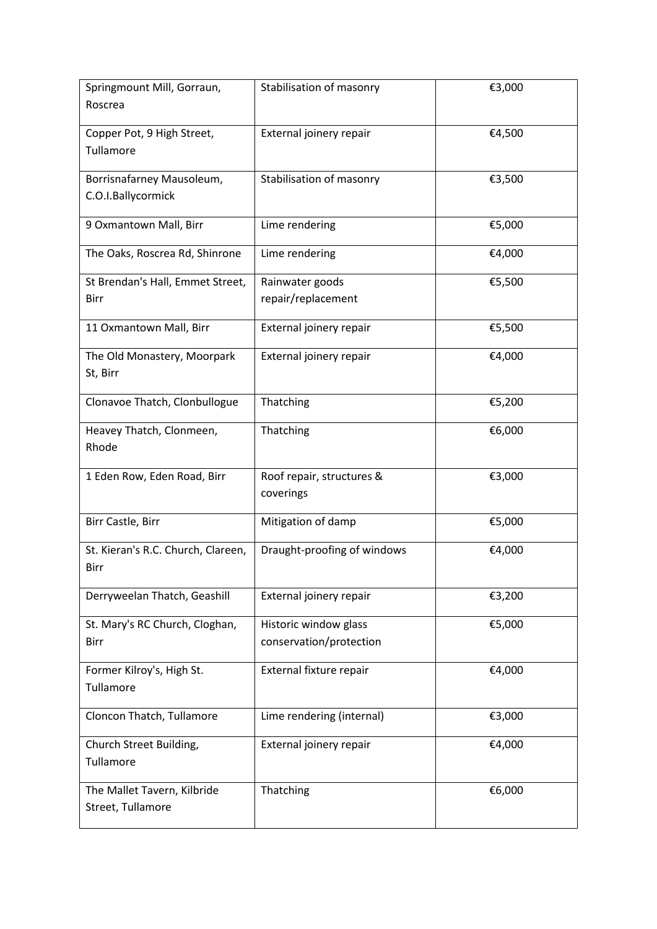| Springmount Mill, Gorraun,                       | Stabilisation of masonry    | €3,000 |
|--------------------------------------------------|-----------------------------|--------|
| Roscrea                                          |                             |        |
| Copper Pot, 9 High Street,                       | External joinery repair     | €4,500 |
| Tullamore                                        |                             |        |
|                                                  |                             |        |
| Borrisnafarney Mausoleum,<br>C.O.I.Ballycormick  | Stabilisation of masonry    | €3,500 |
|                                                  |                             |        |
| 9 Oxmantown Mall, Birr                           | Lime rendering              | €5,000 |
| The Oaks, Roscrea Rd, Shinrone                   | Lime rendering              | €4,000 |
| St Brendan's Hall, Emmet Street,                 | Rainwater goods             | €5,500 |
| Birr                                             | repair/replacement          |        |
| 11 Oxmantown Mall, Birr                          | External joinery repair     | €5,500 |
|                                                  |                             |        |
| The Old Monastery, Moorpark                      | External joinery repair     | €4,000 |
| St, Birr                                         |                             |        |
| Clonavoe Thatch, Clonbullogue                    | Thatching                   | €5,200 |
|                                                  |                             |        |
| Heavey Thatch, Clonmeen,                         | Thatching                   | €6,000 |
| Rhode                                            |                             |        |
| 1 Eden Row, Eden Road, Birr                      | Roof repair, structures &   | €3,000 |
|                                                  | coverings                   |        |
|                                                  |                             |        |
| Birr Castle, Birr                                | Mitigation of damp          | €5,000 |
| St. Kieran's R.C. Church, Clareen,               | Draught-proofing of windows | €4,000 |
| Birr                                             |                             |        |
| Derryweelan Thatch, Geashill                     | External joinery repair     | €3,200 |
|                                                  |                             |        |
| St. Mary's RC Church, Cloghan,                   | Historic window glass       | €5,000 |
| Birr                                             | conservation/protection     |        |
| Former Kilroy's, High St.                        | External fixture repair     | €4,000 |
| Tullamore                                        |                             |        |
|                                                  |                             |        |
| Cloncon Thatch, Tullamore                        | Lime rendering (internal)   | €3,000 |
| Church Street Building,                          | External joinery repair     | €4,000 |
| Tullamore                                        |                             |        |
|                                                  |                             |        |
| The Mallet Tavern, Kilbride<br>Street, Tullamore | Thatching                   | €6,000 |
|                                                  |                             |        |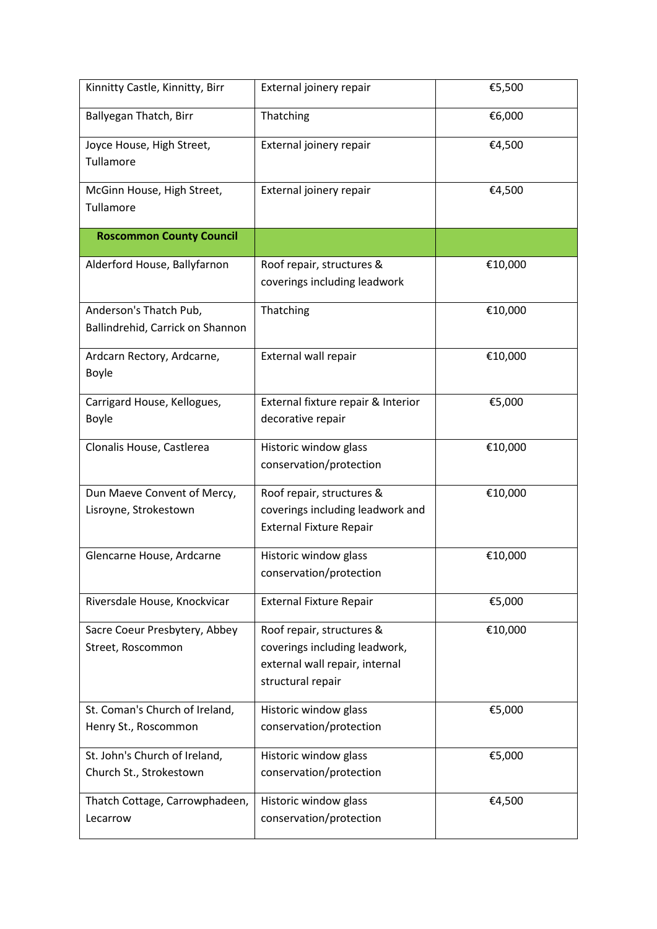| Kinnitty Castle, Kinnitty, Birr                            | External joinery repair                                                                                           | €5,500  |
|------------------------------------------------------------|-------------------------------------------------------------------------------------------------------------------|---------|
| Ballyegan Thatch, Birr                                     | Thatching                                                                                                         | €6,000  |
| Joyce House, High Street,<br>Tullamore                     | External joinery repair                                                                                           | €4,500  |
| McGinn House, High Street,<br>Tullamore                    | External joinery repair                                                                                           | €4,500  |
| <b>Roscommon County Council</b>                            |                                                                                                                   |         |
| Alderford House, Ballyfarnon                               | Roof repair, structures &<br>coverings including leadwork                                                         | €10,000 |
| Anderson's Thatch Pub,<br>Ballindrehid, Carrick on Shannon | Thatching                                                                                                         | €10,000 |
| Ardcarn Rectory, Ardcarne,<br>Boyle                        | External wall repair                                                                                              | €10,000 |
| Carrigard House, Kellogues,<br>Boyle                       | External fixture repair & Interior<br>decorative repair                                                           | €5,000  |
| Clonalis House, Castlerea                                  | Historic window glass<br>conservation/protection                                                                  | €10,000 |
| Dun Maeve Convent of Mercy,<br>Lisroyne, Strokestown       | Roof repair, structures &<br>coverings including leadwork and<br><b>External Fixture Repair</b>                   | €10,000 |
| Glencarne House, Ardcarne                                  | Historic window glass<br>conservation/protection                                                                  | €10,000 |
| Riversdale House, Knockvicar                               | <b>External Fixture Repair</b>                                                                                    | €5,000  |
| Sacre Coeur Presbytery, Abbey<br>Street, Roscommon         | Roof repair, structures &<br>coverings including leadwork,<br>external wall repair, internal<br>structural repair | €10,000 |
| St. Coman's Church of Ireland,<br>Henry St., Roscommon     | Historic window glass<br>conservation/protection                                                                  | €5,000  |
| St. John's Church of Ireland,<br>Church St., Strokestown   | Historic window glass<br>conservation/protection                                                                  | €5,000  |
| Thatch Cottage, Carrowphadeen,<br>Lecarrow                 | Historic window glass<br>conservation/protection                                                                  | €4,500  |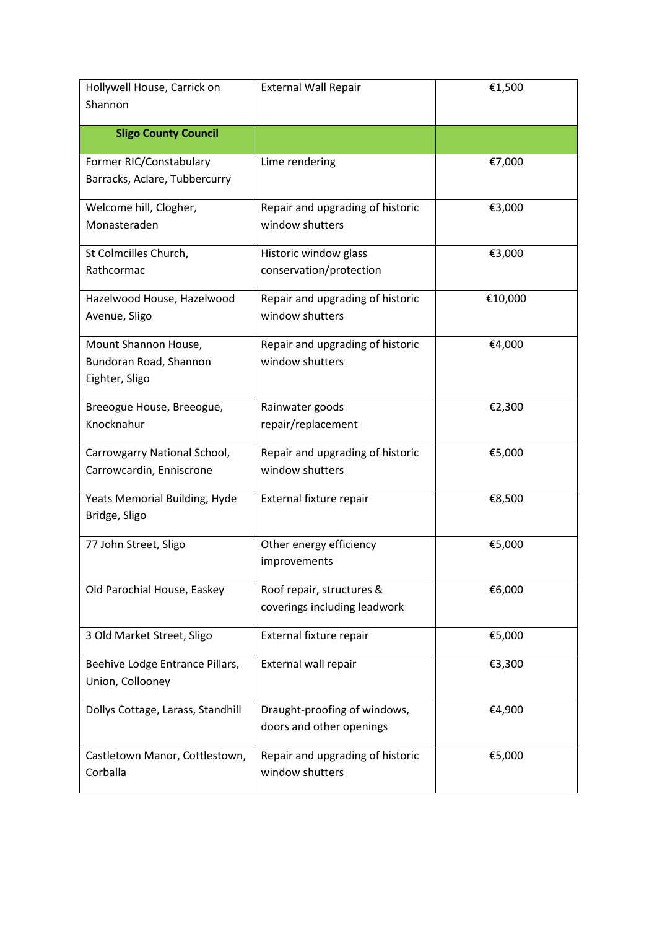| Hollywell House, Carrick on<br>Shannon | <b>External Wall Repair</b>      | €1,500  |
|----------------------------------------|----------------------------------|---------|
|                                        |                                  |         |
| <b>Sligo County Council</b>            |                                  |         |
| Former RIC/Constabulary                | Lime rendering                   | €7,000  |
| Barracks, Aclare, Tubbercurry          |                                  |         |
| Welcome hill, Clogher,                 | Repair and upgrading of historic | €3,000  |
| Monasteraden                           | window shutters                  |         |
| St Colmcilles Church,                  | Historic window glass            | €3,000  |
| Rathcormac                             | conservation/protection          |         |
| Hazelwood House, Hazelwood             | Repair and upgrading of historic | €10,000 |
| Avenue, Sligo                          | window shutters                  |         |
| Mount Shannon House,                   | Repair and upgrading of historic | €4,000  |
| Bundoran Road, Shannon                 | window shutters                  |         |
| Eighter, Sligo                         |                                  |         |
| Breeogue House, Breeogue,              | Rainwater goods                  | €2,300  |
| Knocknahur                             | repair/replacement               |         |
| Carrowgarry National School,           | Repair and upgrading of historic | €5,000  |
| Carrowcardin, Enniscrone               | window shutters                  |         |
| Yeats Memorial Building, Hyde          | External fixture repair          | €8,500  |
| Bridge, Sligo                          |                                  |         |
| 77 John Street, Sligo                  | Other energy efficiency          | €5,000  |
|                                        | improvements                     |         |
| Old Parochial House, Easkey            | Roof repair, structures &        | €6,000  |
|                                        | coverings including leadwork     |         |
| 3 Old Market Street, Sligo             | External fixture repair          | €5,000  |
| Beehive Lodge Entrance Pillars,        | External wall repair             | €3,300  |
| Union, Collooney                       |                                  |         |
| Dollys Cottage, Larass, Standhill      | Draught-proofing of windows,     | €4,900  |
|                                        | doors and other openings         |         |
| Castletown Manor, Cottlestown,         | Repair and upgrading of historic | €5,000  |
| Corballa                               | window shutters                  |         |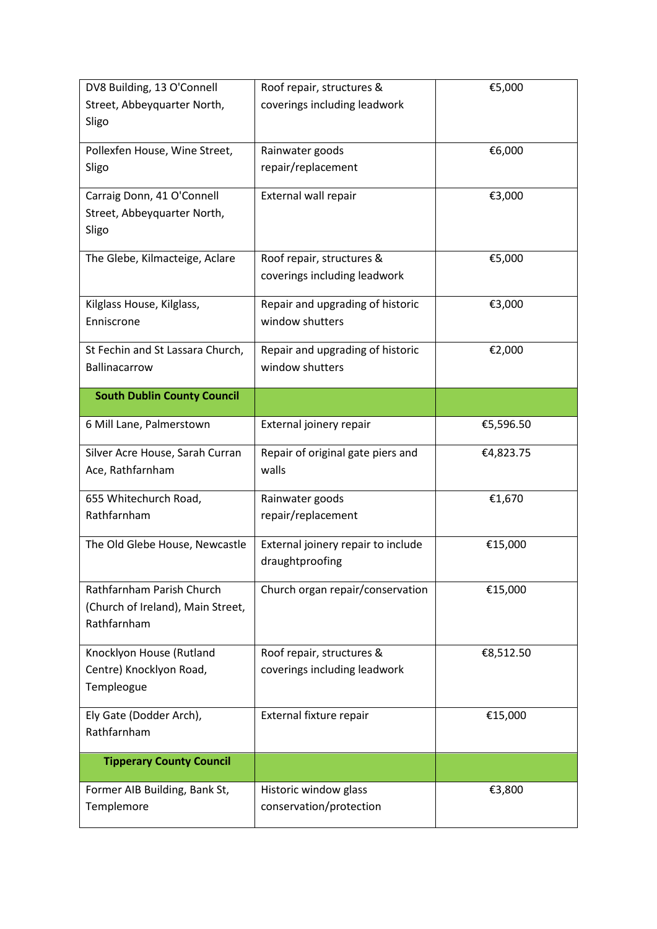| DV8 Building, 13 O'Connell         | Roof repair, structures &          | €5,000    |
|------------------------------------|------------------------------------|-----------|
| Street, Abbeyquarter North,        | coverings including leadwork       |           |
| Sligo                              |                                    |           |
| Pollexfen House, Wine Street,      | Rainwater goods                    | €6,000    |
| Sligo                              | repair/replacement                 |           |
|                                    |                                    |           |
| Carraig Donn, 41 O'Connell         | External wall repair               | €3,000    |
| Street, Abbeyquarter North,        |                                    |           |
| Sligo                              |                                    |           |
| The Glebe, Kilmacteige, Aclare     | Roof repair, structures &          | €5,000    |
|                                    | coverings including leadwork       |           |
|                                    |                                    |           |
| Kilglass House, Kilglass,          | Repair and upgrading of historic   | €3,000    |
| Enniscrone                         | window shutters                    |           |
| St Fechin and St Lassara Church,   | Repair and upgrading of historic   | €2,000    |
| Ballinacarrow                      | window shutters                    |           |
|                                    |                                    |           |
| <b>South Dublin County Council</b> |                                    |           |
| 6 Mill Lane, Palmerstown           | External joinery repair            | €5,596.50 |
| Silver Acre House, Sarah Curran    | Repair of original gate piers and  | €4,823.75 |
| Ace, Rathfarnham                   | walls                              |           |
| 655 Whitechurch Road,              | Rainwater goods                    | €1,670    |
| Rathfarnham                        | repair/replacement                 |           |
|                                    |                                    |           |
| The Old Glebe House, Newcastle     | External joinery repair to include | €15,000   |
|                                    | draughtproofing                    |           |
| Rathfarnham Parish Church          | Church organ repair/conservation   | €15,000   |
| (Church of Ireland), Main Street,  |                                    |           |
| Rathfarnham                        |                                    |           |
|                                    |                                    |           |
| Knocklyon House (Rutland           | Roof repair, structures &          | €8,512.50 |
| Centre) Knocklyon Road,            | coverings including leadwork       |           |
| Templeogue                         |                                    |           |
| Ely Gate (Dodder Arch),            | External fixture repair            | €15,000   |
| Rathfarnham                        |                                    |           |
| <b>Tipperary County Council</b>    |                                    |           |
|                                    |                                    |           |
| Former AIB Building, Bank St,      | Historic window glass              | €3,800    |
| Templemore                         | conservation/protection            |           |
|                                    |                                    |           |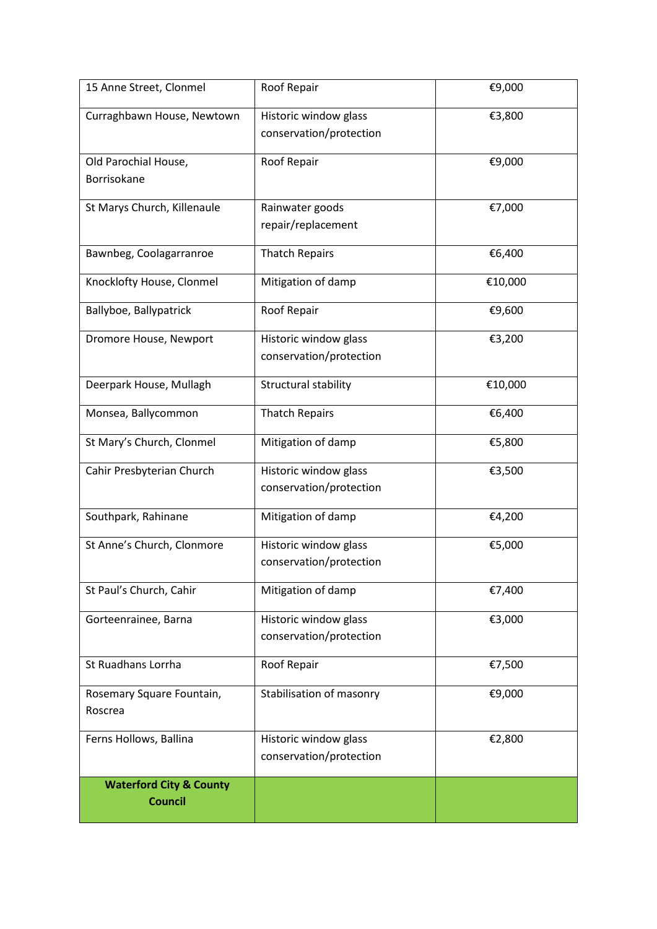| 15 Anne Street, Clonmel                              | Roof Repair                                      | €9,000  |
|------------------------------------------------------|--------------------------------------------------|---------|
| Curraghbawn House, Newtown                           | Historic window glass<br>conservation/protection | €3,800  |
| Old Parochial House,<br>Borrisokane                  | Roof Repair                                      | €9,000  |
| St Marys Church, Killenaule                          | Rainwater goods<br>repair/replacement            | €7,000  |
| Bawnbeg, Coolagarranroe                              | <b>Thatch Repairs</b>                            | €6,400  |
| Knocklofty House, Clonmel                            | Mitigation of damp                               | €10,000 |
| Ballyboe, Ballypatrick                               | Roof Repair                                      | €9,600  |
| Dromore House, Newport                               | Historic window glass<br>conservation/protection | €3,200  |
| Deerpark House, Mullagh                              | Structural stability                             | €10,000 |
| Monsea, Ballycommon                                  | <b>Thatch Repairs</b>                            | €6,400  |
| St Mary's Church, Clonmel                            | Mitigation of damp                               | €5,800  |
| Cahir Presbyterian Church                            | Historic window glass<br>conservation/protection | €3,500  |
| Southpark, Rahinane                                  | Mitigation of damp                               | €4,200  |
| St Anne's Church, Clonmore                           | Historic window glass<br>conservation/protection | €5,000  |
| St Paul's Church, Cahir                              | Mitigation of damp                               | €7,400  |
| Gorteenrainee, Barna                                 | Historic window glass<br>conservation/protection | €3,000  |
| St Ruadhans Lorrha                                   | Roof Repair                                      | €7,500  |
| Rosemary Square Fountain,<br>Roscrea                 | Stabilisation of masonry                         | €9,000  |
| Ferns Hollows, Ballina                               | Historic window glass<br>conservation/protection | €2,800  |
| <b>Waterford City &amp; County</b><br><b>Council</b> |                                                  |         |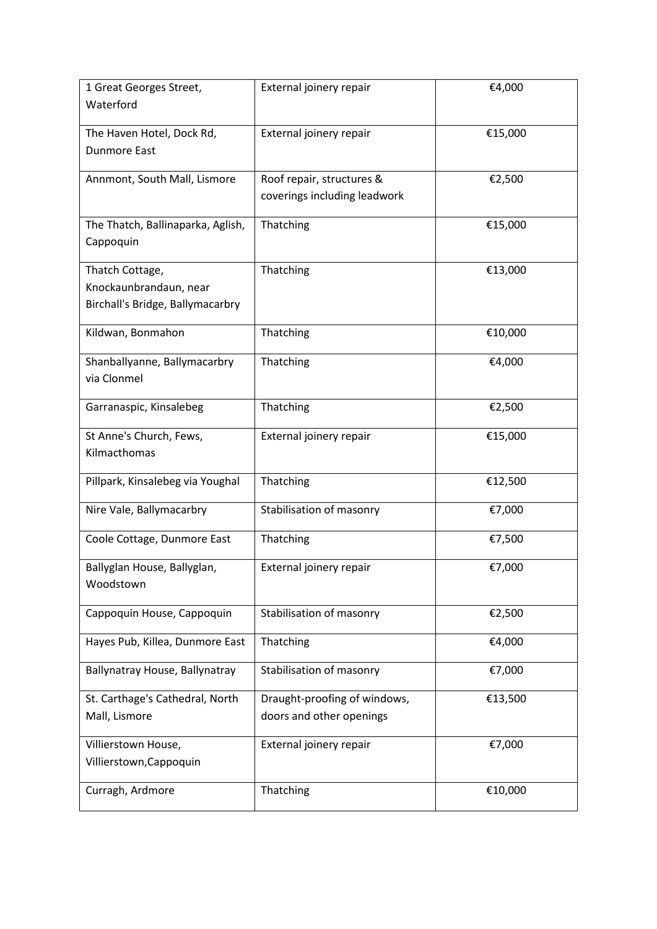| 1 Great Georges Street,           | External joinery repair      | €4,000  |
|-----------------------------------|------------------------------|---------|
| Waterford                         |                              |         |
| The Haven Hotel, Dock Rd,         | External joinery repair      | €15,000 |
| <b>Dunmore East</b>               |                              |         |
|                                   |                              |         |
| Annmont, South Mall, Lismore      | Roof repair, structures &    | €2,500  |
|                                   | coverings including leadwork |         |
| The Thatch, Ballinaparka, Aglish, | Thatching                    | €15,000 |
| Cappoquin                         |                              |         |
|                                   |                              |         |
| Thatch Cottage,                   | Thatching                    | €13,000 |
| Knockaunbrandaun, near            |                              |         |
| Birchall's Bridge, Ballymacarbry  |                              |         |
| Kildwan, Bonmahon                 | Thatching                    | €10,000 |
|                                   |                              |         |
| Shanballyanne, Ballymacarbry      | Thatching                    | €4,000  |
| via Clonmel                       |                              |         |
| Garranaspic, Kinsalebeg           | Thatching                    | €2,500  |
|                                   |                              |         |
| St Anne's Church, Fews,           | External joinery repair      | €15,000 |
| Kilmacthomas                      |                              |         |
|                                   |                              |         |
| Pillpark, Kinsalebeg via Youghal  | Thatching                    | €12,500 |
| Nire Vale, Ballymacarbry          | Stabilisation of masonry     | €7,000  |
|                                   |                              |         |
| Coole Cottage, Dunmore East       | Thatching                    | €7,500  |
| Ballyglan House, Ballyglan,       | External joinery repair      | €7,000  |
| Woodstown                         |                              |         |
|                                   |                              |         |
| Cappoquin House, Cappoquin        | Stabilisation of masonry     | €2,500  |
| Hayes Pub, Killea, Dunmore East   | Thatching                    | €4,000  |
|                                   |                              |         |
| Ballynatray House, Ballynatray    | Stabilisation of masonry     | €7,000  |
| St. Carthage's Cathedral, North   | Draught-proofing of windows, | €13,500 |
| Mall, Lismore                     | doors and other openings     |         |
|                                   |                              |         |
| Villierstown House,               | External joinery repair      | €7,000  |
| Villierstown, Cappoquin           |                              |         |
| Curragh, Ardmore                  | Thatching                    | €10,000 |
|                                   |                              |         |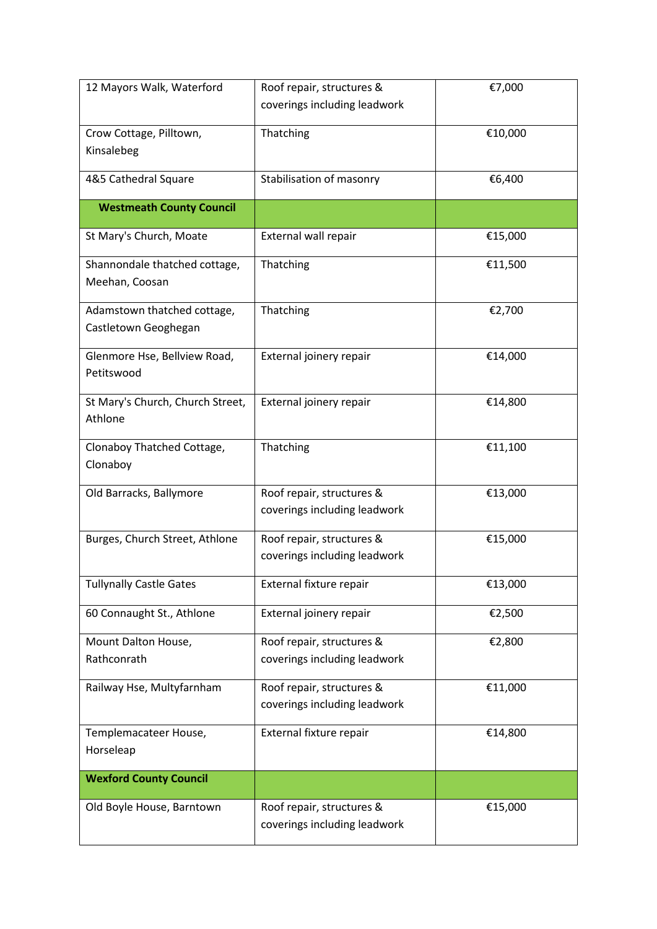| 12 Mayors Walk, Waterford                   | Roof repair, structures &    | €7,000  |
|---------------------------------------------|------------------------------|---------|
|                                             | coverings including leadwork |         |
| Crow Cottage, Pilltown,                     | Thatching                    | €10,000 |
| Kinsalebeg                                  |                              |         |
|                                             |                              |         |
| 4&5 Cathedral Square                        | Stabilisation of masonry     | €6,400  |
| <b>Westmeath County Council</b>             |                              |         |
| St Mary's Church, Moate                     | External wall repair         | €15,000 |
| Shannondale thatched cottage,               | Thatching                    | €11,500 |
| Meehan, Coosan                              |                              |         |
| Adamstown thatched cottage,                 | Thatching                    | €2,700  |
| Castletown Geoghegan                        |                              |         |
| Glenmore Hse, Bellview Road,                | External joinery repair      | €14,000 |
| Petitswood                                  |                              |         |
|                                             |                              |         |
| St Mary's Church, Church Street,<br>Athlone | External joinery repair      | €14,800 |
|                                             |                              |         |
| Clonaboy Thatched Cottage,                  | Thatching                    | €11,100 |
| Clonaboy                                    |                              |         |
| Old Barracks, Ballymore                     | Roof repair, structures &    | €13,000 |
|                                             | coverings including leadwork |         |
| Burges, Church Street, Athlone              | Roof repair, structures &    | €15,000 |
|                                             | coverings including leadwork |         |
| <b>Tullynally Castle Gates</b>              | External fixture repair      | €13,000 |
|                                             |                              |         |
| 60 Connaught St., Athlone                   | External joinery repair      | €2,500  |
| Mount Dalton House,                         | Roof repair, structures &    | €2,800  |
| Rathconrath                                 | coverings including leadwork |         |
| Railway Hse, Multyfarnham                   | Roof repair, structures &    | €11,000 |
|                                             | coverings including leadwork |         |
| Templemacateer House,                       | External fixture repair      | €14,800 |
| Horseleap                                   |                              |         |
|                                             |                              |         |
| <b>Wexford County Council</b>               |                              |         |
| Old Boyle House, Barntown                   | Roof repair, structures &    | €15,000 |
|                                             | coverings including leadwork |         |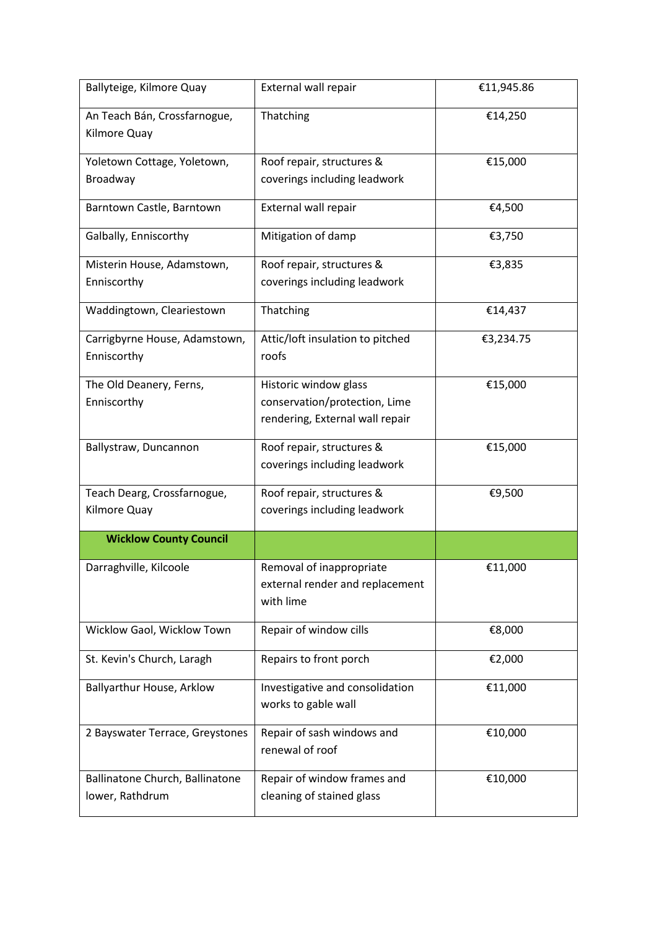| Ballyteige, Kilmore Quay                           | External wall repair                                                                      | €11,945.86 |
|----------------------------------------------------|-------------------------------------------------------------------------------------------|------------|
| An Teach Bán, Crossfarnogue,<br>Kilmore Quay       | Thatching                                                                                 | €14,250    |
| Yoletown Cottage, Yoletown,                        | Roof repair, structures &                                                                 | €15,000    |
| <b>Broadway</b>                                    | coverings including leadwork                                                              |            |
| Barntown Castle, Barntown                          | External wall repair                                                                      | €4,500     |
| Galbally, Enniscorthy                              | Mitigation of damp                                                                        | €3,750     |
| Misterin House, Adamstown,<br>Enniscorthy          | Roof repair, structures &<br>coverings including leadwork                                 | €3,835     |
|                                                    |                                                                                           |            |
| Waddingtown, Cleariestown                          | Thatching                                                                                 | €14,437    |
| Carrigbyrne House, Adamstown,<br>Enniscorthy       | Attic/loft insulation to pitched<br>roofs                                                 | €3,234.75  |
| The Old Deanery, Ferns,<br>Enniscorthy             | Historic window glass<br>conservation/protection, Lime<br>rendering, External wall repair | €15,000    |
| Ballystraw, Duncannon                              | Roof repair, structures &<br>coverings including leadwork                                 | €15,000    |
| Teach Dearg, Crossfarnogue,<br>Kilmore Quay        | Roof repair, structures &<br>coverings including leadwork                                 | €9,500     |
| <b>Wicklow County Council</b>                      |                                                                                           |            |
| Darraghville, Kilcoole                             | Removal of inappropriate<br>external render and replacement<br>with lime                  | €11,000    |
| Wicklow Gaol, Wicklow Town                         | Repair of window cills                                                                    | €8,000     |
| St. Kevin's Church, Laragh                         | Repairs to front porch                                                                    | €2,000     |
| Ballyarthur House, Arklow                          | Investigative and consolidation<br>works to gable wall                                    | €11,000    |
| 2 Bayswater Terrace, Greystones                    | Repair of sash windows and<br>renewal of roof                                             | €10,000    |
| Ballinatone Church, Ballinatone<br>lower, Rathdrum | Repair of window frames and<br>cleaning of stained glass                                  | €10,000    |